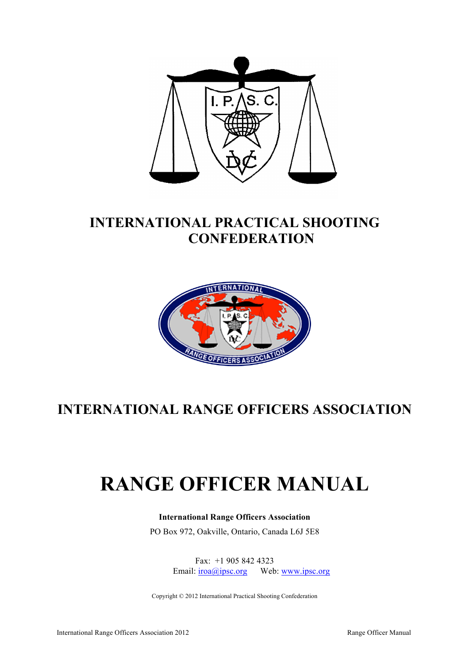

## **INTERNATIONAL PRACTICAL SHOOTING CONFEDERATION**



## **INTERNATIONAL RANGE OFFICERS ASSOCIATION**

# **RANGE OFFICER MANUAL**

**International Range Officers Association**

PO Box 972, Oakville, Ontario, Canada L6J 5E8

Fax: +1 905 842 4323 Email:  $i_{\text{roa}}(a)$ ipsc.org Web: www.ipsc.org

Copyright © 2012 International Practical Shooting Confederation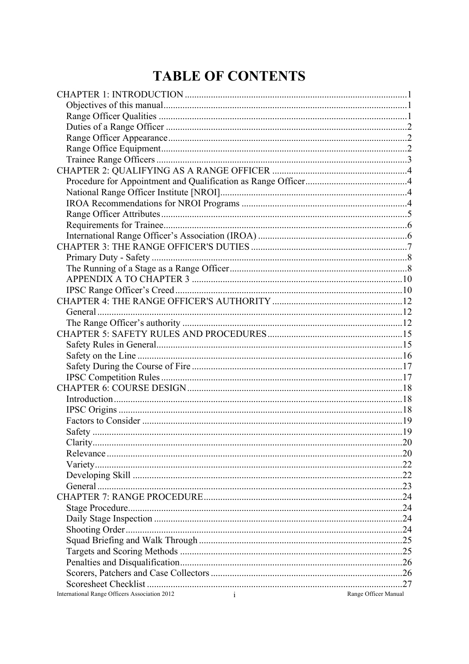## **TABLE OF CONTENTS**

| International Range Officers Association 2012 i | Range Officer Manual |
|-------------------------------------------------|----------------------|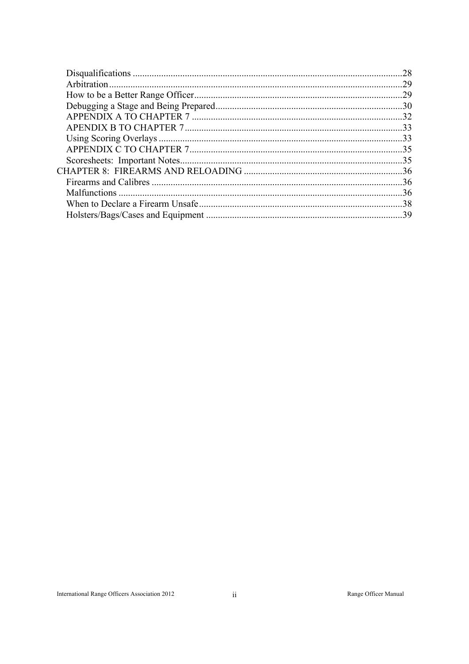| 28  |
|-----|
| .29 |
|     |
|     |
|     |
|     |
|     |
|     |
|     |
|     |
|     |
|     |
| .38 |
|     |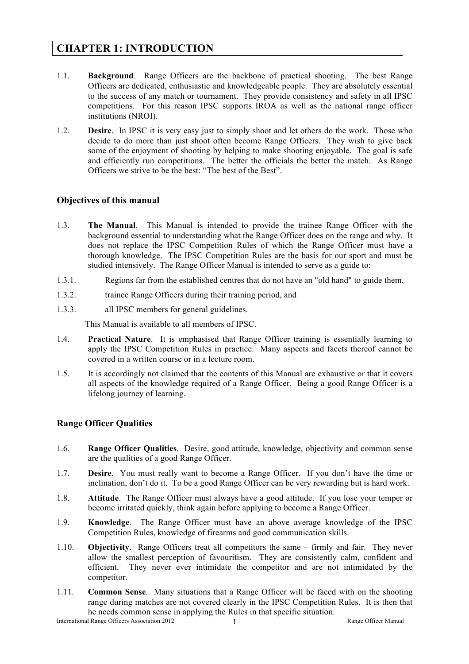## **CHAPTER 1: INTRODUCTION**

- 1.1. **Background**. Range Officers are the backbone of practical shooting. The best Range Officers are dedicated, enthusiastic and knowledgeable people. They are absolutely essential to the success of any match or tournament. They provide consistency and safety in all IPSC competitions. For this reason IPSC supports IROA as well as the national range officer institutions (NROI).
- 1.2. **Desire**. In IPSC it is very easy just to simply shoot and let others do the work. Those who decide to do more than just shoot often become Range Officers. They wish to give back some of the enjoyment of shooting by helping to make shooting enjoyable. The goal is safe and efficiently run competitions. The better the officials the better the match. As Range Officers we strive to be the best: "The best of the Best".

#### **Objectives of this manual**

- 1.3. **The Manual**. This Manual is intended to provide the trainee Range Officer with the background essential to understanding what the Range Officer does on the range and why. It does not replace the IPSC Competition Rules of which the Range Officer must have a thorough knowledge. The IPSC Competition Rules are the basis for our sport and must be studied intensively. The Range Officer Manual is intended to serve as a guide to:
- 1.3.1. Regions far from the established centres that do not have an "old hand" to guide them,
- 1.3.2. trainee Range Officers during their training period, and
- 1.3.3. all IPSC members for general guidelines.

This Manual is available to all members of IPSC.

- 1.4. **Practical Nature**. It is emphasised that Range Officer training is essentially learning to apply the IPSC Competition Rules in practice. Many aspects and facets thereof cannot be covered in a written course or in a lecture room.
- 1.5. It is accordingly not claimed that the contents of this Manual are exhaustive or that it covers all aspects of the knowledge required of a Range Officer. Being a good Range Officer is a lifelong journey of learning.

#### **Range Officer Qualities**

- 1.6. **Range Officer Qualities**. Desire, good attitude, knowledge, objectivity and common sense are the qualities of a good Range Officer.
- 1.7. **Desire**. You must really want to become a Range Officer. If you don't have the time or inclination, don't do it. To be a good Range Officer can be very rewarding but is hard work.
- 1.8. **Attitude**. The Range Officer must always have a good attitude. If you lose your temper or become irritated quickly, think again before applying to become a Range Officer.
- 1.9. **Knowledge**. The Range Officer must have an above average knowledge of the IPSC Competition Rules, knowledge of firearms and good communication skills.
- 1.10. **Objectivity**. Range Officers treat all competitors the same firmly and fair. They never allow the smallest perception of favouritism. They are consistently calm, confident and efficient. They never ever intimidate the competitor and are not intimidated by the competitor.
- 1.11. **Common Sense**. Many situations that a Range Officer will be faced with on the shooting range during matches are not covered clearly in the IPSC Competition Rules. It is then that he needs common sense in applying the Rules in that specific situation.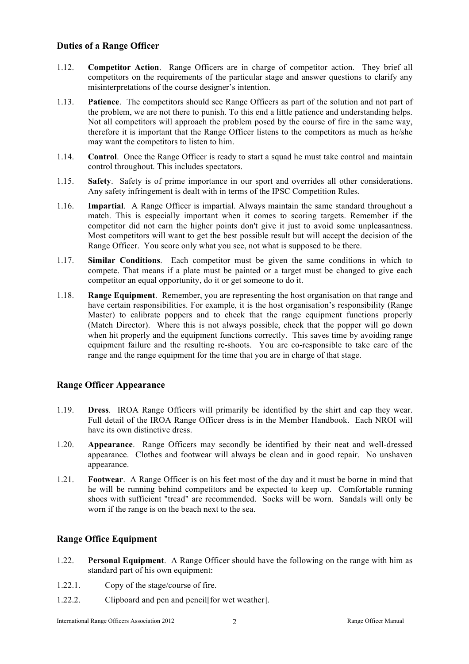#### **Duties of a Range Officer**

- 1.12. **Competitor Action**. Range Officers are in charge of competitor action. They brief all competitors on the requirements of the particular stage and answer questions to clarify any misinterpretations of the course designer's intention.
- 1.13. **Patience**. The competitors should see Range Officers as part of the solution and not part of the problem, we are not there to punish. To this end a little patience and understanding helps. Not all competitors will approach the problem posed by the course of fire in the same way, therefore it is important that the Range Officer listens to the competitors as much as he/she may want the competitors to listen to him.
- 1.14. **Control**. Once the Range Officer is ready to start a squad he must take control and maintain control throughout. This includes spectators.
- 1.15. **Safety**. Safety is of prime importance in our sport and overrides all other considerations. Any safety infringement is dealt with in terms of the IPSC Competition Rules.
- 1.16. **Impartial**. A Range Officer is impartial. Always maintain the same standard throughout a match. This is especially important when it comes to scoring targets. Remember if the competitor did not earn the higher points don't give it just to avoid some unpleasantness. Most competitors will want to get the best possible result but will accept the decision of the Range Officer. You score only what you see, not what is supposed to be there.
- 1.17. **Similar Conditions**. Each competitor must be given the same conditions in which to compete. That means if a plate must be painted or a target must be changed to give each competitor an equal opportunity, do it or get someone to do it.
- 1.18. **Range Equipment**. Remember, you are representing the host organisation on that range and have certain responsibilities. For example, it is the host organisation's responsibility (Range Master) to calibrate poppers and to check that the range equipment functions properly (Match Director). Where this is not always possible, check that the popper will go down when hit properly and the equipment functions correctly. This saves time by avoiding range equipment failure and the resulting re-shoots. You are co-responsible to take care of the range and the range equipment for the time that you are in charge of that stage.

#### **Range Officer Appearance**

- 1.19. **Dress**. IROA Range Officers will primarily be identified by the shirt and cap they wear. Full detail of the IROA Range Officer dress is in the Member Handbook. Each NROI will have its own distinctive dress.
- 1.20. **Appearance**. Range Officers may secondly be identified by their neat and well-dressed appearance. Clothes and footwear will always be clean and in good repair. No unshaven appearance.
- 1.21. **Footwear**. A Range Officer is on his feet most of the day and it must be borne in mind that he will be running behind competitors and be expected to keep up. Comfortable running shoes with sufficient "tread" are recommended. Socks will be worn. Sandals will only be worn if the range is on the beach next to the sea.

#### **Range Office Equipment**

- 1.22. **Personal Equipment**. A Range Officer should have the following on the range with him as standard part of his own equipment:
- 1.22.1. Copy of the stage/course of fire.
- 1.22.2. Clipboard and pen and pencil[for wet weather].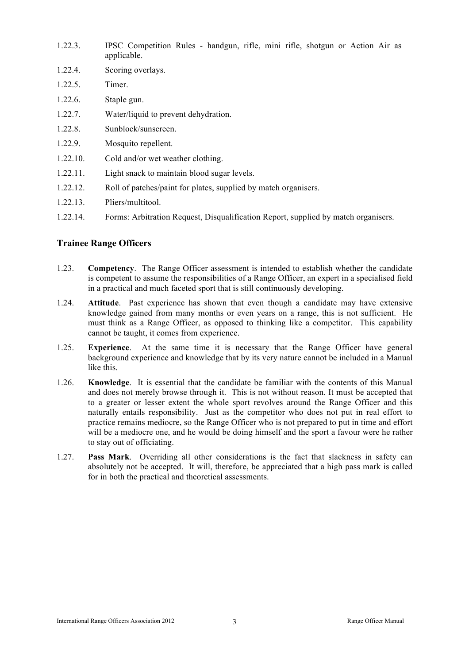- 1.22.3. IPSC Competition Rules handgun, rifle, mini rifle, shotgun or Action Air as applicable.
- 1.22.4. Scoring overlays.
- 1.22.5. Timer.
- 1.22.6. Staple gun.
- 1.22.7. Water/liquid to prevent dehydration.
- 1.22.8. Sunblock/sunscreen.
- 1.22.9. Mosquito repellent.
- 1.22.10. Cold and/or wet weather clothing.
- 1.22.11. Light snack to maintain blood sugar levels.
- 1.22.12. Roll of patches/paint for plates, supplied by match organisers.
- 1.22.13. Pliers/multitool.
- 1.22.14. Forms: Arbitration Request, Disqualification Report, supplied by match organisers.

#### **Trainee Range Officers**

- 1.23. **Competency**. The Range Officer assessment is intended to establish whether the candidate is competent to assume the responsibilities of a Range Officer, an expert in a specialised field in a practical and much faceted sport that is still continuously developing.
- 1.24. **Attitude**. Past experience has shown that even though a candidate may have extensive knowledge gained from many months or even years on a range, this is not sufficient. He must think as a Range Officer, as opposed to thinking like a competitor. This capability cannot be taught, it comes from experience.
- 1.25. **Experience**. At the same time it is necessary that the Range Officer have general background experience and knowledge that by its very nature cannot be included in a Manual like this.
- 1.26. **Knowledge**. It is essential that the candidate be familiar with the contents of this Manual and does not merely browse through it. This is not without reason. It must be accepted that to a greater or lesser extent the whole sport revolves around the Range Officer and this naturally entails responsibility. Just as the competitor who does not put in real effort to practice remains mediocre, so the Range Officer who is not prepared to put in time and effort will be a mediocre one, and he would be doing himself and the sport a favour were he rather to stay out of officiating.
- 1.27. **Pass Mark**. Overriding all other considerations is the fact that slackness in safety can absolutely not be accepted. It will, therefore, be appreciated that a high pass mark is called for in both the practical and theoretical assessments.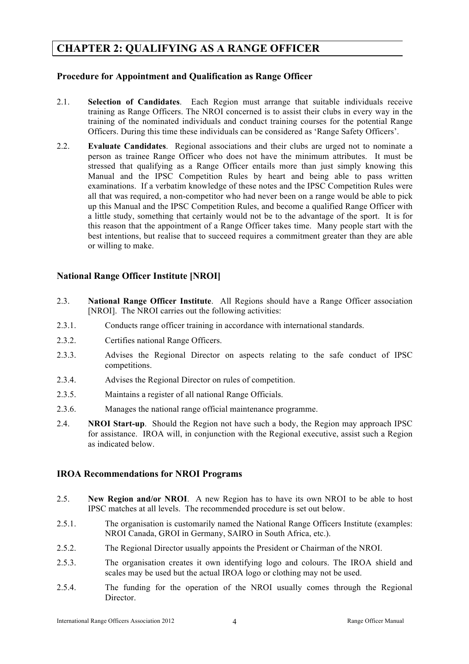## **CHAPTER 2: QUALIFYING AS A RANGE OFFICER**

#### **Procedure for Appointment and Qualification as Range Officer**

- 2.1. **Selection of Candidates**. Each Region must arrange that suitable individuals receive training as Range Officers. The NROI concerned is to assist their clubs in every way in the training of the nominated individuals and conduct training courses for the potential Range Officers. During this time these individuals can be considered as 'Range Safety Officers'.
- 2.2. **Evaluate Candidates**. Regional associations and their clubs are urged not to nominate a person as trainee Range Officer who does not have the minimum attributes. It must be stressed that qualifying as a Range Officer entails more than just simply knowing this Manual and the IPSC Competition Rules by heart and being able to pass written examinations. If a verbatim knowledge of these notes and the IPSC Competition Rules were all that was required, a non-competitor who had never been on a range would be able to pick up this Manual and the IPSC Competition Rules, and become a qualified Range Officer with a little study, something that certainly would not be to the advantage of the sport. It is for this reason that the appointment of a Range Officer takes time. Many people start with the best intentions, but realise that to succeed requires a commitment greater than they are able or willing to make.

#### **National Range Officer Institute [NROI]**

- 2.3. **National Range Officer Institute**. All Regions should have a Range Officer association [NROI]. The NROI carries out the following activities:
- 2.3.1. Conducts range officer training in accordance with international standards.
- 2.3.2. Certifies national Range Officers.
- 2.3.3. Advises the Regional Director on aspects relating to the safe conduct of IPSC competitions.
- 2.3.4. Advises the Regional Director on rules of competition.
- 2.3.5. Maintains a register of all national Range Officials.
- 2.3.6. Manages the national range official maintenance programme.
- 2.4. **NROI Start-up**. Should the Region not have such a body, the Region may approach IPSC for assistance. IROA will, in conjunction with the Regional executive, assist such a Region as indicated below.

#### **IROA Recommendations for NROI Programs**

- 2.5. **New Region and/or NROI**. A new Region has to have its own NROI to be able to host IPSC matches at all levels. The recommended procedure is set out below.
- 2.5.1. The organisation is customarily named the National Range Officers Institute (examples: NROI Canada, GROI in Germany, SAIRO in South Africa, etc.).
- 2.5.2. The Regional Director usually appoints the President or Chairman of the NROI.
- 2.5.3. The organisation creates it own identifying logo and colours. The IROA shield and scales may be used but the actual IROA logo or clothing may not be used.
- 2.5.4. The funding for the operation of the NROI usually comes through the Regional **Director**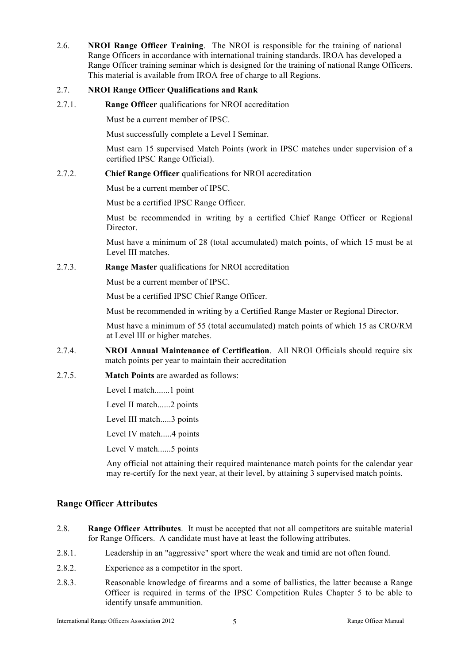2.6. **NROI Range Officer Training**. The NROI is responsible for the training of national Range Officers in accordance with international training standards. IROA has developed a Range Officer training seminar which is designed for the training of national Range Officers. This material is available from IROA free of charge to all Regions.

#### 2.7. **NROI Range Officer Qualifications and Rank**

2.7.1. **Range Officer** qualifications for NROI accreditation

Must be a current member of IPSC.

Must successfully complete a Level I Seminar.

Must earn 15 supervised Match Points (work in IPSC matches under supervision of a certified IPSC Range Official).

#### 2.7.2. **Chief Range Officer** qualifications for NROI accreditation

Must be a current member of IPSC.

Must be a certified IPSC Range Officer.

Must be recommended in writing by a certified Chief Range Officer or Regional Director.

Must have a minimum of 28 (total accumulated) match points, of which 15 must be at Level III matches.

2.7.3. **Range Master** qualifications for NROI accreditation

Must be a current member of IPSC.

Must be a certified IPSC Chief Range Officer.

Must be recommended in writing by a Certified Range Master or Regional Director.

Must have a minimum of 55 (total accumulated) match points of which 15 as CRO/RM at Level III or higher matches.

- 2.7.4. **NROI Annual Maintenance of Certification**. All NROI Officials should require six match points per year to maintain their accreditation
- 2.7.5. **Match Points** are awarded as follows:

Level I match.......1 point

Level II match......2 points

Level III match.....3 points

Level IV match.....4 points

Level V match......5 points

Any official not attaining their required maintenance match points for the calendar year may re-certify for the next year, at their level, by attaining 3 supervised match points.

#### **Range Officer Attributes**

- 2.8. **Range Officer Attributes**. It must be accepted that not all competitors are suitable material for Range Officers. A candidate must have at least the following attributes.
- 2.8.1. Leadership in an "aggressive" sport where the weak and timid are not often found.
- 2.8.2. Experience as a competitor in the sport.
- 2.8.3. Reasonable knowledge of firearms and a some of ballistics, the latter because a Range Officer is required in terms of the IPSC Competition Rules Chapter 5 to be able to identify unsafe ammunition.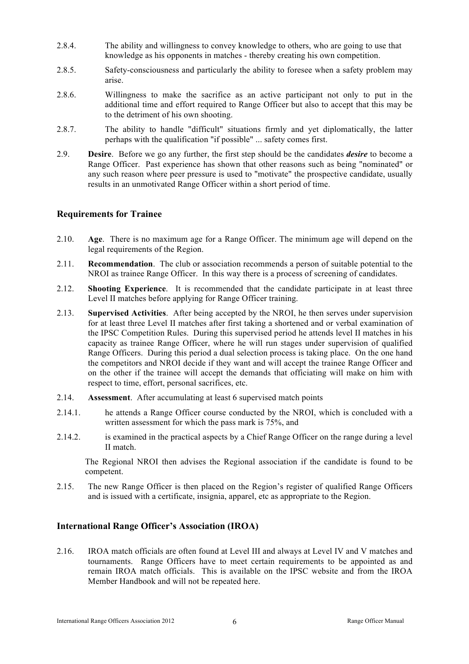- 2.8.4. The ability and willingness to convey knowledge to others, who are going to use that knowledge as his opponents in matches - thereby creating his own competition.
- 2.8.5. Safety-consciousness and particularly the ability to foresee when a safety problem may arise.
- 2.8.6. Willingness to make the sacrifice as an active participant not only to put in the additional time and effort required to Range Officer but also to accept that this may be to the detriment of his own shooting.
- 2.8.7. The ability to handle "difficult" situations firmly and yet diplomatically, the latter perhaps with the qualification "if possible" ... safety comes first.
- 2.9. **Desire**. Before we go any further, the first step should be the candidates *desire* to become a Range Officer. Past experience has shown that other reasons such as being "nominated" or any such reason where peer pressure is used to "motivate" the prospective candidate, usually results in an unmotivated Range Officer within a short period of time.

#### **Requirements for Trainee**

- 2.10. **Age**. There is no maximum age for a Range Officer. The minimum age will depend on the legal requirements of the Region.
- 2.11. **Recommendation**. The club or association recommends a person of suitable potential to the NROI as trainee Range Officer. In this way there is a process of screening of candidates.
- 2.12. **Shooting Experience**. It is recommended that the candidate participate in at least three Level II matches before applying for Range Officer training.
- 2.13. **Supervised Activities**. After being accepted by the NROI, he then serves under supervision for at least three Level II matches after first taking a shortened and or verbal examination of the IPSC Competition Rules. During this supervised period he attends level II matches in his capacity as trainee Range Officer, where he will run stages under supervision of qualified Range Officers. During this period a dual selection process is taking place. On the one hand the competitors and NROI decide if they want and will accept the trainee Range Officer and on the other if the trainee will accept the demands that officiating will make on him with respect to time, effort, personal sacrifices, etc.
- 2.14. **Assessment**. After accumulating at least 6 supervised match points
- 2.14.1. he attends a Range Officer course conducted by the NROI, which is concluded with a written assessment for which the pass mark is 75%, and
- 2.14.2. is examined in the practical aspects by a Chief Range Officer on the range during a level II match.

The Regional NROI then advises the Regional association if the candidate is found to be competent.

2.15. The new Range Officer is then placed on the Region's register of qualified Range Officers and is issued with a certificate, insignia, apparel, etc as appropriate to the Region.

#### **International Range Officer's Association (IROA)**

2.16. IROA match officials are often found at Level III and always at Level IV and V matches and tournaments. Range Officers have to meet certain requirements to be appointed as and remain IROA match officials. This is available on the IPSC website and from the IROA Member Handbook and will not be repeated here.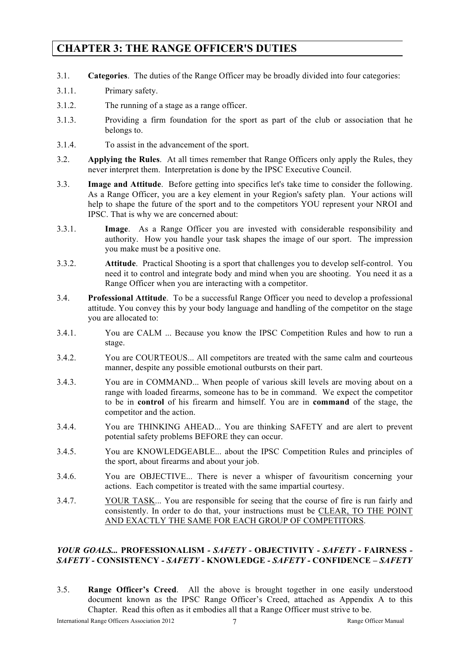## **CHAPTER 3: THE RANGE OFFICER'S DUTIES**

- 3.1. **Categories**. The duties of the Range Officer may be broadly divided into four categories:
- 3.1.1. Primary safety.
- 3.1.2. The running of a stage as a range officer.
- 3.1.3. Providing a firm foundation for the sport as part of the club or association that he belongs to.
- 3.1.4. To assist in the advancement of the sport.
- 3.2. **Applying the Rules**. At all times remember that Range Officers only apply the Rules, they never interpret them. Interpretation is done by the IPSC Executive Council.
- 3.3. **Image and Attitude**. Before getting into specifics let's take time to consider the following. As a Range Officer, you are a key element in your Region's safety plan. Your actions will help to shape the future of the sport and to the competitors YOU represent your NROI and IPSC. That is why we are concerned about:
- 3.3.1. **Image**. As a Range Officer you are invested with considerable responsibility and authority. How you handle your task shapes the image of our sport. The impression you make must be a positive one.
- 3.3.2. **Attitude**. Practical Shooting is a sport that challenges you to develop self-control. You need it to control and integrate body and mind when you are shooting. You need it as a Range Officer when you are interacting with a competitor.
- 3.4. **Professional Attitude**. To be a successful Range Officer you need to develop a professional attitude. You convey this by your body language and handling of the competitor on the stage you are allocated to:
- 3.4.1. You are CALM ... Because you know the IPSC Competition Rules and how to run a stage.
- 3.4.2. You are COURTEOUS... All competitors are treated with the same calm and courteous manner, despite any possible emotional outbursts on their part.
- 3.4.3. You are in COMMAND... When people of various skill levels are moving about on a range with loaded firearms, someone has to be in command. We expect the competitor to be in **control** of his firearm and himself. You are in **command** of the stage, the competitor and the action.
- 3.4.4. You are THINKING AHEAD... You are thinking SAFETY and are alert to prevent potential safety problems BEFORE they can occur.
- 3.4.5. You are KNOWLEDGEABLE... about the IPSC Competition Rules and principles of the sport, about firearms and about your job.
- 3.4.6. You are OBJECTIVE... There is never a whisper of favouritism concerning your actions. Each competitor is treated with the same impartial courtesy.
- 3.4.7. YOUR TASK... You are responsible for seeing that the course of fire is run fairly and consistently. In order to do that, your instructions must be CLEAR, TO THE POINT AND EXACTLY THE SAME FOR EACH GROUP OF COMPETITORS.

#### *YOUR GOALS...* **PROFESSIONALISM** *- SAFETY -* **OBJECTIVITY** *- SAFETY -* **FAIRNESS** *- SAFETY -* **CONSISTENCY** *- SAFETY -* **KNOWLEDGE** *- SAFETY -* **CONFIDENCE** *– SAFETY*

3.5. **Range Officer's Creed**. All the above is brought together in one easily understood document known as the IPSC Range Officer's Creed, attached as Appendix A to this Chapter. Read this often as it embodies all that a Range Officer must strive to be.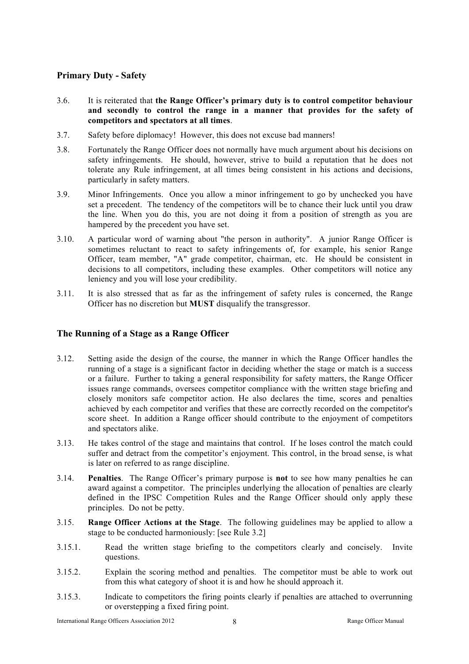#### **Primary Duty - Safety**

- 3.6. It is reiterated that **the Range Officer's primary duty is to control competitor behaviour and secondly to control the range in a manner that provides for the safety of competitors and spectators at all times**.
- 3.7. Safety before diplomacy! However, this does not excuse bad manners!
- 3.8. Fortunately the Range Officer does not normally have much argument about his decisions on safety infringements. He should, however, strive to build a reputation that he does not tolerate any Rule infringement, at all times being consistent in his actions and decisions, particularly in safety matters.
- 3.9. Minor Infringements. Once you allow a minor infringement to go by unchecked you have set a precedent. The tendency of the competitors will be to chance their luck until you draw the line. When you do this, you are not doing it from a position of strength as you are hampered by the precedent you have set.
- 3.10. A particular word of warning about "the person in authority". A junior Range Officer is sometimes reluctant to react to safety infringements of, for example, his senior Range Officer, team member, "A" grade competitor, chairman, etc. He should be consistent in decisions to all competitors, including these examples. Other competitors will notice any leniency and you will lose your credibility.
- 3.11. It is also stressed that as far as the infringement of safety rules is concerned, the Range Officer has no discretion but **MUST** disqualify the transgressor.

#### **The Running of a Stage as a Range Officer**

- 3.12. Setting aside the design of the course, the manner in which the Range Officer handles the running of a stage is a significant factor in deciding whether the stage or match is a success or a failure. Further to taking a general responsibility for safety matters, the Range Officer issues range commands, oversees competitor compliance with the written stage briefing and closely monitors safe competitor action. He also declares the time, scores and penalties achieved by each competitor and verifies that these are correctly recorded on the competitor's score sheet. In addition a Range officer should contribute to the enjoyment of competitors and spectators alike.
- 3.13. He takes control of the stage and maintains that control. If he loses control the match could suffer and detract from the competitor's enjoyment. This control, in the broad sense, is what is later on referred to as range discipline.
- 3.14. **Penalties**. The Range Officer's primary purpose is **not** to see how many penalties he can award against a competitor. The principles underlying the allocation of penalties are clearly defined in the IPSC Competition Rules and the Range Officer should only apply these principles. Do not be petty.
- 3.15. **Range Officer Actions at the Stage**. The following guidelines may be applied to allow a stage to be conducted harmoniously: [see Rule 3.2]
- 3.15.1. Read the written stage briefing to the competitors clearly and concisely. Invite questions.
- 3.15.2. Explain the scoring method and penalties. The competitor must be able to work out from this what category of shoot it is and how he should approach it.
- 3.15.3. Indicate to competitors the firing points clearly if penalties are attached to overrunning or overstepping a fixed firing point.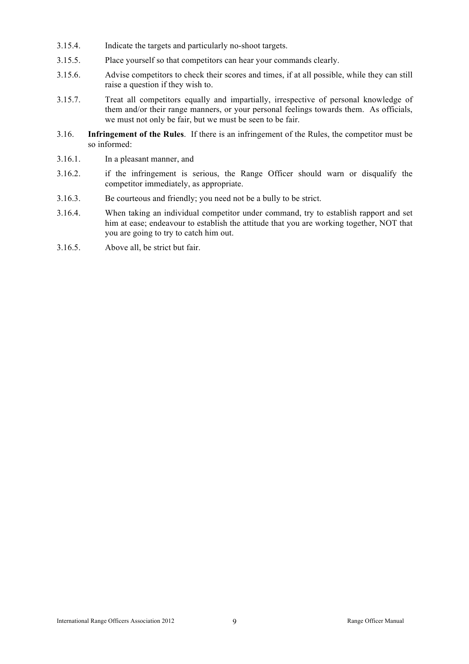- 3.15.4. Indicate the targets and particularly no-shoot targets.
- 3.15.5. Place yourself so that competitors can hear your commands clearly.
- 3.15.6. Advise competitors to check their scores and times, if at all possible, while they can still raise a question if they wish to.
- 3.15.7. Treat all competitors equally and impartially, irrespective of personal knowledge of them and/or their range manners, or your personal feelings towards them. As officials, we must not only be fair, but we must be seen to be fair.
- 3.16. **Infringement of the Rules**. If there is an infringement of the Rules, the competitor must be so informed:
- 3.16.1. In a pleasant manner, and
- 3.16.2. if the infringement is serious, the Range Officer should warn or disqualify the competitor immediately, as appropriate.
- 3.16.3. Be courteous and friendly; you need not be a bully to be strict.
- 3.16.4. When taking an individual competitor under command, try to establish rapport and set him at ease; endeavour to establish the attitude that you are working together, NOT that you are going to try to catch him out.
- 3.16.5. Above all, be strict but fair.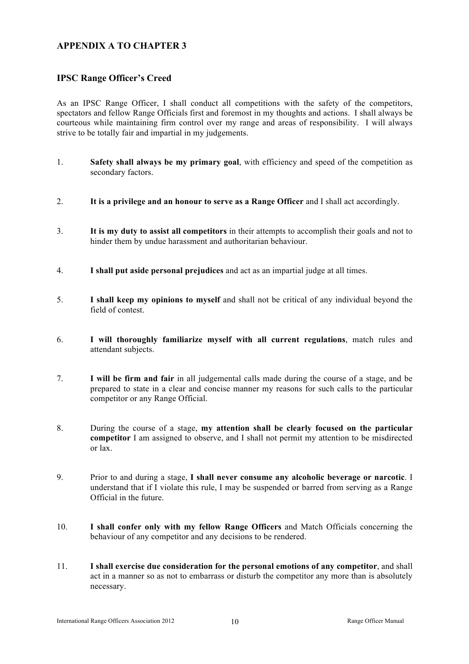#### **APPENDIX A TO CHAPTER 3**

#### **IPSC Range Officer's Creed**

As an IPSC Range Officer, I shall conduct all competitions with the safety of the competitors, spectators and fellow Range Officials first and foremost in my thoughts and actions. I shall always be courteous while maintaining firm control over my range and areas of responsibility. I will always strive to be totally fair and impartial in my judgements.

- 1. **Safety shall always be my primary goal**, with efficiency and speed of the competition as secondary factors.
- 2. **It is a privilege and an honour to serve as a Range Officer** and I shall act accordingly.
- 3. **It is my duty to assist all competitors** in their attempts to accomplish their goals and not to hinder them by undue harassment and authoritarian behaviour.
- 4. **I shall put aside personal prejudices** and act as an impartial judge at all times.
- 5. **I shall keep my opinions to myself** and shall not be critical of any individual beyond the field of contest.
- 6. **I will thoroughly familiarize myself with all current regulations**, match rules and attendant subjects.
- 7. **I will be firm and fair** in all judgemental calls made during the course of a stage, and be prepared to state in a clear and concise manner my reasons for such calls to the particular competitor or any Range Official.
- 8. During the course of a stage, **my attention shall be clearly focused on the particular competitor** I am assigned to observe, and I shall not permit my attention to be misdirected or lax.
- 9. Prior to and during a stage, **I shall never consume any alcoholic beverage or narcotic**. I understand that if I violate this rule, I may be suspended or barred from serving as a Range Official in the future.
- 10. **I shall confer only with my fellow Range Officers** and Match Officials concerning the behaviour of any competitor and any decisions to be rendered.
- 11. **I shall exercise due consideration for the personal emotions of any competitor**, and shall act in a manner so as not to embarrass or disturb the competitor any more than is absolutely necessary.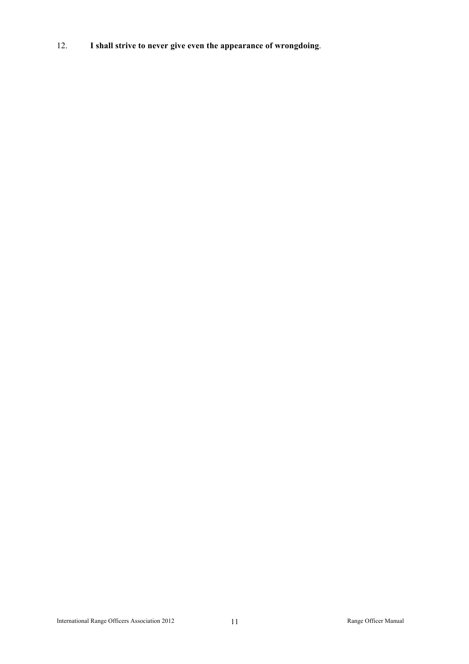## 12. **I shall strive to never give even the appearance of wrongdoing**.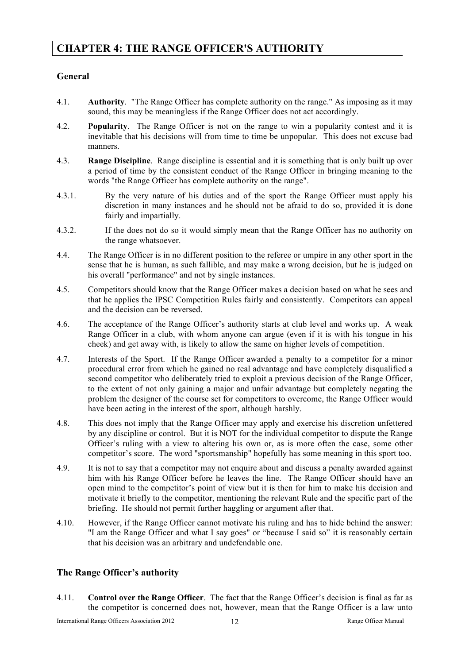## **CHAPTER 4: THE RANGE OFFICER'S AUTHORITY**

#### **General**

- 4.1. **Authority**. "The Range Officer has complete authority on the range." As imposing as it may sound, this may be meaningless if the Range Officer does not act accordingly.
- 4.2. **Popularity**. The Range Officer is not on the range to win a popularity contest and it is inevitable that his decisions will from time to time be unpopular. This does not excuse bad manners.
- 4.3. **Range Discipline**. Range discipline is essential and it is something that is only built up over a period of time by the consistent conduct of the Range Officer in bringing meaning to the words "the Range Officer has complete authority on the range".
- 4.3.1. By the very nature of his duties and of the sport the Range Officer must apply his discretion in many instances and he should not be afraid to do so, provided it is done fairly and impartially.
- 4.3.2. If the does not do so it would simply mean that the Range Officer has no authority on the range whatsoever.
- 4.4. The Range Officer is in no different position to the referee or umpire in any other sport in the sense that he is human, as such fallible, and may make a wrong decision, but he is judged on his overall "performance" and not by single instances.
- 4.5. Competitors should know that the Range Officer makes a decision based on what he sees and that he applies the IPSC Competition Rules fairly and consistently. Competitors can appeal and the decision can be reversed.
- 4.6. The acceptance of the Range Officer's authority starts at club level and works up. A weak Range Officer in a club, with whom anyone can argue (even if it is with his tongue in his cheek) and get away with, is likely to allow the same on higher levels of competition.
- 4.7. Interests of the Sport. If the Range Officer awarded a penalty to a competitor for a minor procedural error from which he gained no real advantage and have completely disqualified a second competitor who deliberately tried to exploit a previous decision of the Range Officer, to the extent of not only gaining a major and unfair advantage but completely negating the problem the designer of the course set for competitors to overcome, the Range Officer would have been acting in the interest of the sport, although harshly.
- 4.8. This does not imply that the Range Officer may apply and exercise his discretion unfettered by any discipline or control. But it is NOT for the individual competitor to dispute the Range Officer's ruling with a view to altering his own or, as is more often the case, some other competitor's score. The word "sportsmanship" hopefully has some meaning in this sport too.
- 4.9. It is not to say that a competitor may not enquire about and discuss a penalty awarded against him with his Range Officer before he leaves the line. The Range Officer should have an open mind to the competitor's point of view but it is then for him to make his decision and motivate it briefly to the competitor, mentioning the relevant Rule and the specific part of the briefing. He should not permit further haggling or argument after that.
- 4.10. However, if the Range Officer cannot motivate his ruling and has to hide behind the answer: "I am the Range Officer and what I say goes" or "because I said so" it is reasonably certain that his decision was an arbitrary and undefendable one.

#### **The Range Officer's authority**

4.11. **Control over the Range Officer**. The fact that the Range Officer's decision is final as far as the competitor is concerned does not, however, mean that the Range Officer is a law unto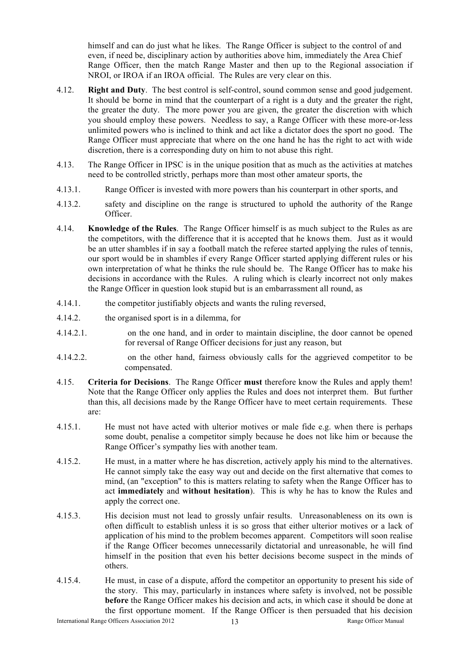himself and can do just what he likes. The Range Officer is subject to the control of and even, if need be, disciplinary action by authorities above him, immediately the Area Chief Range Officer, then the match Range Master and then up to the Regional association if NROI, or IROA if an IROA official. The Rules are very clear on this.

- 4.12. **Right and Duty**. The best control is self-control, sound common sense and good judgement. It should be borne in mind that the counterpart of a right is a duty and the greater the right, the greater the duty. The more power you are given, the greater the discretion with which you should employ these powers. Needless to say, a Range Officer with these more-or-less unlimited powers who is inclined to think and act like a dictator does the sport no good. The Range Officer must appreciate that where on the one hand he has the right to act with wide discretion, there is a corresponding duty on him to not abuse this right.
- 4.13. The Range Officer in IPSC is in the unique position that as much as the activities at matches need to be controlled strictly, perhaps more than most other amateur sports, the
- 4.13.1. Range Officer is invested with more powers than his counterpart in other sports, and
- 4.13.2. safety and discipline on the range is structured to uphold the authority of the Range Officer.
- 4.14. **Knowledge of the Rules**. The Range Officer himself is as much subject to the Rules as are the competitors, with the difference that it is accepted that he knows them. Just as it would be an utter shambles if in say a football match the referee started applying the rules of tennis, our sport would be in shambles if every Range Officer started applying different rules or his own interpretation of what he thinks the rule should be. The Range Officer has to make his decisions in accordance with the Rules. A ruling which is clearly incorrect not only makes the Range Officer in question look stupid but is an embarrassment all round, as
- 4.14.1. the competitor justifiably objects and wants the ruling reversed,
- 4.14.2. the organised sport is in a dilemma, for
- 4.14.2.1. on the one hand, and in order to maintain discipline, the door cannot be opened for reversal of Range Officer decisions for just any reason, but
- 4.14.2.2. on the other hand, fairness obviously calls for the aggrieved competitor to be compensated.
- 4.15. **Criteria for Decisions**. The Range Officer **must** therefore know the Rules and apply them! Note that the Range Officer only applies the Rules and does not interpret them. But further than this, all decisions made by the Range Officer have to meet certain requirements. These are:
- 4.15.1. He must not have acted with ulterior motives or male fide e.g. when there is perhaps some doubt, penalise a competitor simply because he does not like him or because the Range Officer's sympathy lies with another team.
- 4.15.2. He must, in a matter where he has discretion, actively apply his mind to the alternatives. He cannot simply take the easy way out and decide on the first alternative that comes to mind, (an "exception" to this is matters relating to safety when the Range Officer has to act **immediately** and **without hesitation**). This is why he has to know the Rules and apply the correct one.
- 4.15.3. His decision must not lead to grossly unfair results. Unreasonableness on its own is often difficult to establish unless it is so gross that either ulterior motives or a lack of application of his mind to the problem becomes apparent. Competitors will soon realise if the Range Officer becomes unnecessarily dictatorial and unreasonable, he will find himself in the position that even his better decisions become suspect in the minds of others.
- 4.15.4. He must, in case of a dispute, afford the competitor an opportunity to present his side of the story. This may, particularly in instances where safety is involved, not be possible **before** the Range Officer makes his decision and acts, in which case it should be done at the first opportune moment. If the Range Officer is then persuaded that his decision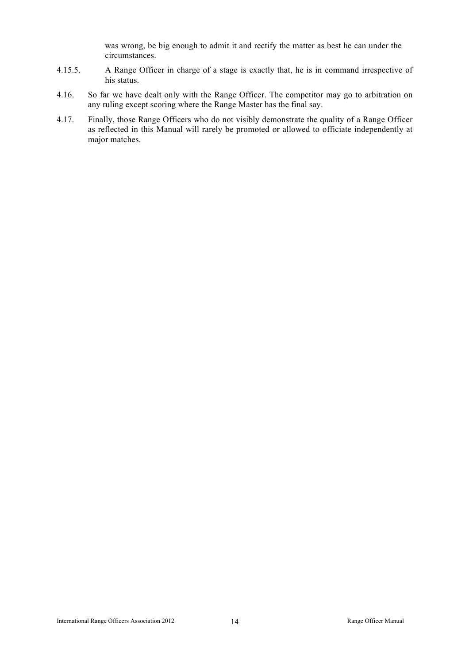was wrong, be big enough to admit it and rectify the matter as best he can under the circumstances.

- 4.15.5. A Range Officer in charge of a stage is exactly that, he is in command irrespective of his status.
- 4.16. So far we have dealt only with the Range Officer. The competitor may go to arbitration on any ruling except scoring where the Range Master has the final say.
- 4.17. Finally, those Range Officers who do not visibly demonstrate the quality of a Range Officer as reflected in this Manual will rarely be promoted or allowed to officiate independently at major matches.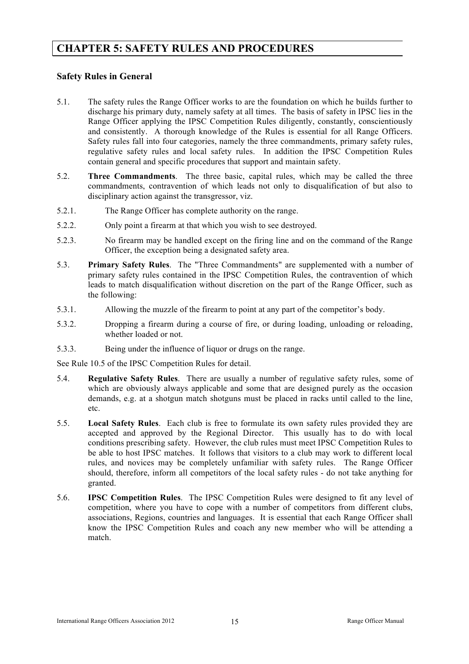## **CHAPTER 5: SAFETY RULES AND PROCEDURES**

#### **Safety Rules in General**

- 5.1. The safety rules the Range Officer works to are the foundation on which he builds further to discharge his primary duty, namely safety at all times. The basis of safety in IPSC lies in the Range Officer applying the IPSC Competition Rules diligently, constantly, conscientiously and consistently. A thorough knowledge of the Rules is essential for all Range Officers. Safety rules fall into four categories, namely the three commandments, primary safety rules, regulative safety rules and local safety rules. In addition the IPSC Competition Rules contain general and specific procedures that support and maintain safety.
- 5.2. **Three Commandments**. The three basic, capital rules, which may be called the three commandments, contravention of which leads not only to disqualification of but also to disciplinary action against the transgressor, viz.
- 5.2.1. The Range Officer has complete authority on the range.
- 5.2.2. Only point a firearm at that which you wish to see destroyed.
- 5.2.3. No firearm may be handled except on the firing line and on the command of the Range Officer, the exception being a designated safety area.
- 5.3. **Primary Safety Rules**. The "Three Commandments" are supplemented with a number of primary safety rules contained in the IPSC Competition Rules, the contravention of which leads to match disqualification without discretion on the part of the Range Officer, such as the following:
- 5.3.1. Allowing the muzzle of the firearm to point at any part of the competitor's body.
- 5.3.2. Dropping a firearm during a course of fire, or during loading, unloading or reloading, whether loaded or not.
- 5.3.3. Being under the influence of liquor or drugs on the range.

See Rule 10.5 of the IPSC Competition Rules for detail.

- 5.4. **Regulative Safety Rules**. There are usually a number of regulative safety rules, some of which are obviously always applicable and some that are designed purely as the occasion demands, e.g. at a shotgun match shotguns must be placed in racks until called to the line, etc.
- 5.5. **Local Safety Rules**. Each club is free to formulate its own safety rules provided they are accepted and approved by the Regional Director. This usually has to do with local conditions prescribing safety. However, the club rules must meet IPSC Competition Rules to be able to host IPSC matches. It follows that visitors to a club may work to different local rules, and novices may be completely unfamiliar with safety rules. The Range Officer should, therefore, inform all competitors of the local safety rules - do not take anything for granted.
- 5.6. **IPSC Competition Rules**. The IPSC Competition Rules were designed to fit any level of competition, where you have to cope with a number of competitors from different clubs, associations, Regions, countries and languages. It is essential that each Range Officer shall know the IPSC Competition Rules and coach any new member who will be attending a match.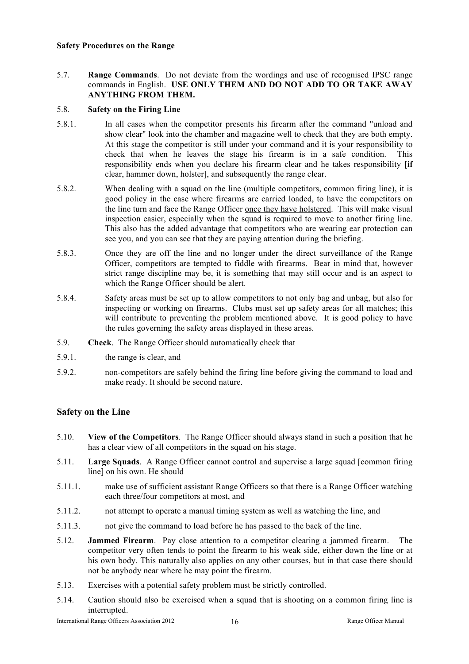#### **Safety Procedures on the Range**

5.7. **Range Commands**. Do not deviate from the wordings and use of recognised IPSC range commands in English. **USE ONLY THEM AND DO NOT ADD TO OR TAKE AWAY ANYTHING FROM THEM.**

#### 5.8. **Safety on the Firing Line**

- 5.8.1. In all cases when the competitor presents his firearm after the command "unload and show clear" look into the chamber and magazine well to check that they are both empty. At this stage the competitor is still under your command and it is your responsibility to check that when he leaves the stage his firearm is in a safe condition. This responsibility ends when you declare his firearm clear and he takes responsibility [**if** clear, hammer down, holster], and subsequently the range clear.
- 5.8.2. When dealing with a squad on the line (multiple competitors, common firing line), it is good policy in the case where firearms are carried loaded, to have the competitors on the line turn and face the Range Officer once they have holstered. This will make visual inspection easier, especially when the squad is required to move to another firing line. This also has the added advantage that competitors who are wearing ear protection can see you, and you can see that they are paying attention during the briefing.
- 5.8.3. Once they are off the line and no longer under the direct surveillance of the Range Officer, competitors are tempted to fiddle with firearms. Bear in mind that, however strict range discipline may be, it is something that may still occur and is an aspect to which the Range Officer should be alert.
- 5.8.4. Safety areas must be set up to allow competitors to not only bag and unbag, but also for inspecting or working on firearms. Clubs must set up safety areas for all matches; this will contribute to preventing the problem mentioned above. It is good policy to have the rules governing the safety areas displayed in these areas.
- 5.9. **Check**. The Range Officer should automatically check that
- 5.9.1. the range is clear, and
- 5.9.2. non-competitors are safely behind the firing line before giving the command to load and make ready. It should be second nature.

#### **Safety on the Line**

- 5.10. **View of the Competitors**. The Range Officer should always stand in such a position that he has a clear view of all competitors in the squad on his stage.
- 5.11. **Large Squads**. A Range Officer cannot control and supervise a large squad [common firing line] on his own. He should
- 5.11.1. make use of sufficient assistant Range Officers so that there is a Range Officer watching each three/four competitors at most, and
- 5.11.2. not attempt to operate a manual timing system as well as watching the line, and
- 5.11.3. not give the command to load before he has passed to the back of the line.
- 5.12. **Jammed Firearm**. Pay close attention to a competitor clearing a jammed firearm. The competitor very often tends to point the firearm to his weak side, either down the line or at his own body. This naturally also applies on any other courses, but in that case there should not be anybody near where he may point the firearm.
- 5.13. Exercises with a potential safety problem must be strictly controlled.
- 5.14. Caution should also be exercised when a squad that is shooting on a common firing line is interrupted.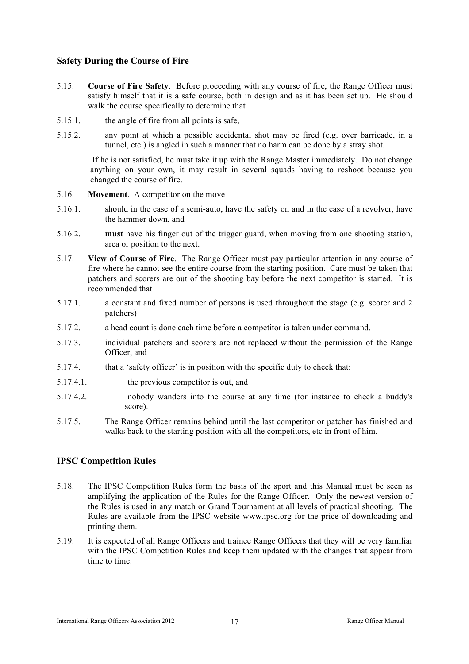#### **Safety During the Course of Fire**

- 5.15. **Course of Fire Safety**. Before proceeding with any course of fire, the Range Officer must satisfy himself that it is a safe course, both in design and as it has been set up. He should walk the course specifically to determine that
- 5.15.1. the angle of fire from all points is safe,
- 5.15.2. any point at which a possible accidental shot may be fired (e.g. over barricade, in a tunnel, etc.) is angled in such a manner that no harm can be done by a stray shot.

If he is not satisfied, he must take it up with the Range Master immediately. Do not change anything on your own, it may result in several squads having to reshoot because you changed the course of fire.

- 5.16. **Movement**. A competitor on the move
- 5.16.1. should in the case of a semi-auto, have the safety on and in the case of a revolver, have the hammer down, and
- 5.16.2. **must** have his finger out of the trigger guard, when moving from one shooting station, area or position to the next.
- 5.17. **View of Course of Fire**. The Range Officer must pay particular attention in any course of fire where he cannot see the entire course from the starting position. Care must be taken that patchers and scorers are out of the shooting bay before the next competitor is started. It is recommended that
- 5.17.1. a constant and fixed number of persons is used throughout the stage (e.g. scorer and 2 patchers)
- 5.17.2. a head count is done each time before a competitor is taken under command.
- 5.17.3. individual patchers and scorers are not replaced without the permission of the Range Officer, and
- 5.17.4. that a 'safety officer' is in position with the specific duty to check that:
- 5.17.4.1. the previous competitor is out, and
- 5.17.4.2. nobody wanders into the course at any time (for instance to check a buddy's score).
- 5.17.5. The Range Officer remains behind until the last competitor or patcher has finished and walks back to the starting position with all the competitors, etc in front of him.

#### **IPSC Competition Rules**

- 5.18. The IPSC Competition Rules form the basis of the sport and this Manual must be seen as amplifying the application of the Rules for the Range Officer. Only the newest version of the Rules is used in any match or Grand Tournament at all levels of practical shooting. The Rules are available from the IPSC website www.ipsc.org for the price of downloading and printing them.
- 5.19. It is expected of all Range Officers and trainee Range Officers that they will be very familiar with the IPSC Competition Rules and keep them updated with the changes that appear from time to time.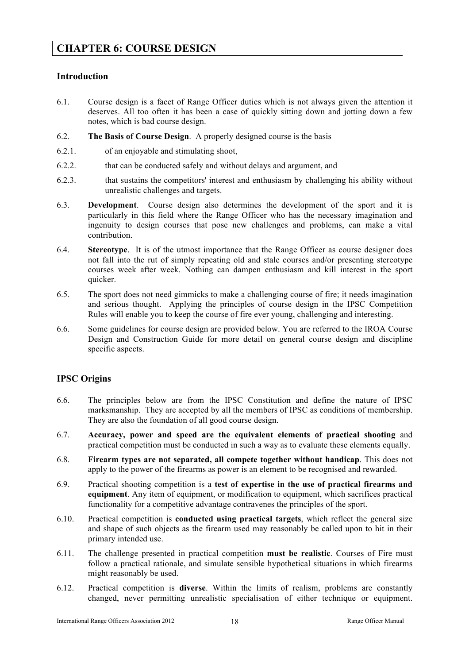## **CHAPTER 6: COURSE DESIGN**

#### **Introduction**

- 6.1. Course design is a facet of Range Officer duties which is not always given the attention it deserves. All too often it has been a case of quickly sitting down and jotting down a few notes, which is bad course design.
- 6.2. **The Basis of Course Design**. A properly designed course is the basis
- 6.2.1. of an enjoyable and stimulating shoot,
- 6.2.2. that can be conducted safely and without delays and argument, and
- 6.2.3. that sustains the competitors' interest and enthusiasm by challenging his ability without unrealistic challenges and targets.
- 6.3. **Development**. Course design also determines the development of the sport and it is particularly in this field where the Range Officer who has the necessary imagination and ingenuity to design courses that pose new challenges and problems, can make a vital contribution.
- 6.4. **Stereotype**. It is of the utmost importance that the Range Officer as course designer does not fall into the rut of simply repeating old and stale courses and/or presenting stereotype courses week after week. Nothing can dampen enthusiasm and kill interest in the sport quicker.
- 6.5. The sport does not need gimmicks to make a challenging course of fire; it needs imagination and serious thought. Applying the principles of course design in the IPSC Competition Rules will enable you to keep the course of fire ever young, challenging and interesting.
- 6.6. Some guidelines for course design are provided below. You are referred to the IROA Course Design and Construction Guide for more detail on general course design and discipline specific aspects.

#### **IPSC Origins**

- 6.6. The principles below are from the IPSC Constitution and define the nature of IPSC marksmanship. They are accepted by all the members of IPSC as conditions of membership. They are also the foundation of all good course design.
- 6.7. **Accuracy, power and speed are the equivalent elements of practical shooting** and practical competition must be conducted in such a way as to evaluate these elements equally.
- 6.8. **Firearm types are not separated, all compete together without handicap**. This does not apply to the power of the firearms as power is an element to be recognised and rewarded.
- 6.9. Practical shooting competition is a **test of expertise in the use of practical firearms and equipment**. Any item of equipment, or modification to equipment, which sacrifices practical functionality for a competitive advantage contravenes the principles of the sport.
- 6.10. Practical competition is **conducted using practical targets**, which reflect the general size and shape of such objects as the firearm used may reasonably be called upon to hit in their primary intended use.
- 6.11. The challenge presented in practical competition **must be realistic**. Courses of Fire must follow a practical rationale, and simulate sensible hypothetical situations in which firearms might reasonably be used.
- 6.12. Practical competition is **diverse**. Within the limits of realism, problems are constantly changed, never permitting unrealistic specialisation of either technique or equipment.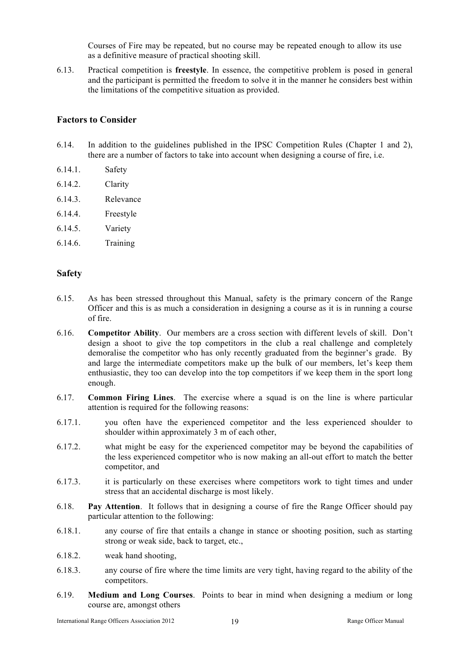Courses of Fire may be repeated, but no course may be repeated enough to allow its use as a definitive measure of practical shooting skill.

6.13. Practical competition is **freestyle**. In essence, the competitive problem is posed in general and the participant is permitted the freedom to solve it in the manner he considers best within the limitations of the competitive situation as provided.

#### **Factors to Consider**

- 6.14. In addition to the guidelines published in the IPSC Competition Rules (Chapter 1 and 2), there are a number of factors to take into account when designing a course of fire, i.e.
- 6.14.1. Safety
- 6.14.2. Clarity
- 6.14.3. Relevance
- 6.14.4. Freestyle
- 6.14.5. Variety
- 6.14.6. Training

#### **Safety**

- 6.15. As has been stressed throughout this Manual, safety is the primary concern of the Range Officer and this is as much a consideration in designing a course as it is in running a course of fire.
- 6.16. **Competitor Ability**. Our members are a cross section with different levels of skill. Don't design a shoot to give the top competitors in the club a real challenge and completely demoralise the competitor who has only recently graduated from the beginner's grade. By and large the intermediate competitors make up the bulk of our members, let's keep them enthusiastic, they too can develop into the top competitors if we keep them in the sport long enough.
- 6.17. **Common Firing Lines**. The exercise where a squad is on the line is where particular attention is required for the following reasons:
- 6.17.1. you often have the experienced competitor and the less experienced shoulder to shoulder within approximately 3 m of each other,
- 6.17.2. what might be easy for the experienced competitor may be beyond the capabilities of the less experienced competitor who is now making an all-out effort to match the better competitor, and
- 6.17.3. it is particularly on these exercises where competitors work to tight times and under stress that an accidental discharge is most likely.
- 6.18. **Pay Attention**. It follows that in designing a course of fire the Range Officer should pay particular attention to the following:
- 6.18.1. any course of fire that entails a change in stance or shooting position, such as starting strong or weak side, back to target, etc.,
- 6.18.2. weak hand shooting,
- 6.18.3. any course of fire where the time limits are very tight, having regard to the ability of the competitors.
- 6.19. **Medium and Long Courses**. Points to bear in mind when designing a medium or long course are, amongst others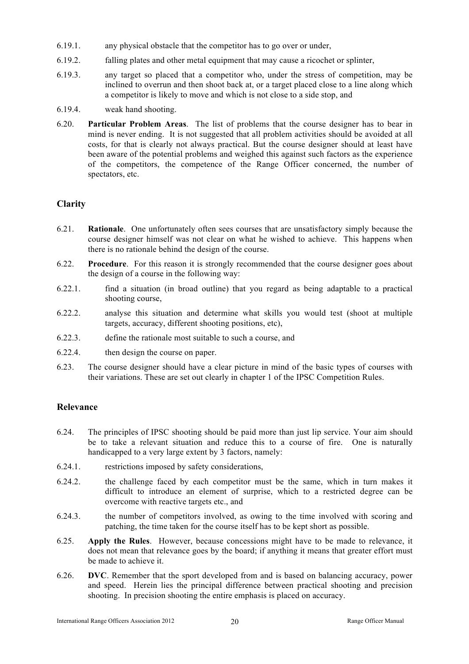- 6.19.1. any physical obstacle that the competitor has to go over or under,
- 6.19.2. falling plates and other metal equipment that may cause a ricochet or splinter,
- 6.19.3. any target so placed that a competitor who, under the stress of competition, may be inclined to overrun and then shoot back at, or a target placed close to a line along which a competitor is likely to move and which is not close to a side stop, and
- 6.19.4. weak hand shooting.
- 6.20. **Particular Problem Areas**. The list of problems that the course designer has to bear in mind is never ending. It is not suggested that all problem activities should be avoided at all costs, for that is clearly not always practical. But the course designer should at least have been aware of the potential problems and weighed this against such factors as the experience of the competitors, the competence of the Range Officer concerned, the number of spectators, etc.

#### **Clarity**

- 6.21. **Rationale**. One unfortunately often sees courses that are unsatisfactory simply because the course designer himself was not clear on what he wished to achieve. This happens when there is no rationale behind the design of the course.
- 6.22. **Procedure**. For this reason it is strongly recommended that the course designer goes about the design of a course in the following way:
- 6.22.1. find a situation (in broad outline) that you regard as being adaptable to a practical shooting course,
- 6.22.2. analyse this situation and determine what skills you would test (shoot at multiple targets, accuracy, different shooting positions, etc),
- 6.22.3. define the rationale most suitable to such a course, and
- 6.22.4. then design the course on paper.
- 6.23. The course designer should have a clear picture in mind of the basic types of courses with their variations. These are set out clearly in chapter 1 of the IPSC Competition Rules.

#### **Relevance**

- 6.24. The principles of IPSC shooting should be paid more than just lip service. Your aim should be to take a relevant situation and reduce this to a course of fire. One is naturally handicapped to a very large extent by 3 factors, namely:
- 6.24.1. restrictions imposed by safety considerations,
- 6.24.2. the challenge faced by each competitor must be the same, which in turn makes it difficult to introduce an element of surprise, which to a restricted degree can be overcome with reactive targets etc., and
- 6.24.3. the number of competitors involved, as owing to the time involved with scoring and patching, the time taken for the course itself has to be kept short as possible.
- 6.25. **Apply the Rules**. However, because concessions might have to be made to relevance, it does not mean that relevance goes by the board; if anything it means that greater effort must be made to achieve it.
- 6.26. **DVC**. Remember that the sport developed from and is based on balancing accuracy, power and speed. Herein lies the principal difference between practical shooting and precision shooting. In precision shooting the entire emphasis is placed on accuracy.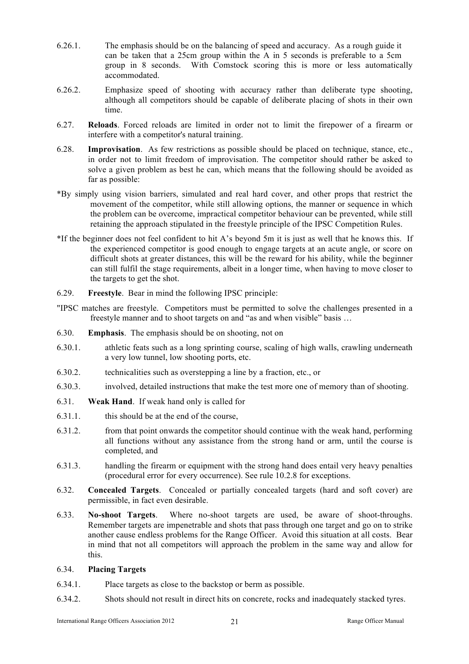- 6.26.1. The emphasis should be on the balancing of speed and accuracy. As a rough guide it can be taken that a 25cm group within the A in 5 seconds is preferable to a 5cm group in 8 seconds. With Comstock scoring this is more or less automatically accommodated.
- 6.26.2. Emphasize speed of shooting with accuracy rather than deliberate type shooting, although all competitors should be capable of deliberate placing of shots in their own time.
- 6.27. **Reloads**. Forced reloads are limited in order not to limit the firepower of a firearm or interfere with a competitor's natural training.
- 6.28. **Improvisation**. As few restrictions as possible should be placed on technique, stance, etc., in order not to limit freedom of improvisation. The competitor should rather be asked to solve a given problem as best he can, which means that the following should be avoided as far as possible:
- \*By simply using vision barriers, simulated and real hard cover, and other props that restrict the movement of the competitor, while still allowing options, the manner or sequence in which the problem can be overcome, impractical competitor behaviour can be prevented, while still retaining the approach stipulated in the freestyle principle of the IPSC Competition Rules.
- \*If the beginner does not feel confident to hit A's beyond 5m it is just as well that he knows this. If the experienced competitor is good enough to engage targets at an acute angle, or score on difficult shots at greater distances, this will be the reward for his ability, while the beginner can still fulfil the stage requirements, albeit in a longer time, when having to move closer to the targets to get the shot.
- 6.29. **Freestyle**. Bear in mind the following IPSC principle:
- "IPSC matches are freestyle. Competitors must be permitted to solve the challenges presented in a freestyle manner and to shoot targets on and "as and when visible" basis …
- 6.30. **Emphasis**. The emphasis should be on shooting, not on
- 6.30.1. athletic feats such as a long sprinting course, scaling of high walls, crawling underneath a very low tunnel, low shooting ports, etc.
- 6.30.2. technicalities such as overstepping a line by a fraction, etc., or
- 6.30.3. involved, detailed instructions that make the test more one of memory than of shooting.
- 6.31. **Weak Hand**. If weak hand only is called for
- 6.31.1. this should be at the end of the course,
- 6.31.2. from that point onwards the competitor should continue with the weak hand, performing all functions without any assistance from the strong hand or arm, until the course is completed, and
- 6.31.3. handling the firearm or equipment with the strong hand does entail very heavy penalties (procedural error for every occurrence). See rule 10.2.8 for exceptions.
- 6.32. **Concealed Targets**. Concealed or partially concealed targets (hard and soft cover) are permissible, in fact even desirable.
- 6.33. **No-shoot Targets**. Where no-shoot targets are used, be aware of shoot-throughs. Remember targets are impenetrable and shots that pass through one target and go on to strike another cause endless problems for the Range Officer. Avoid this situation at all costs. Bear in mind that not all competitors will approach the problem in the same way and allow for this.

#### 6.34. **Placing Targets**

- 6.34.1. Place targets as close to the backstop or berm as possible.
- 6.34.2. Shots should not result in direct hits on concrete, rocks and inadequately stacked tyres.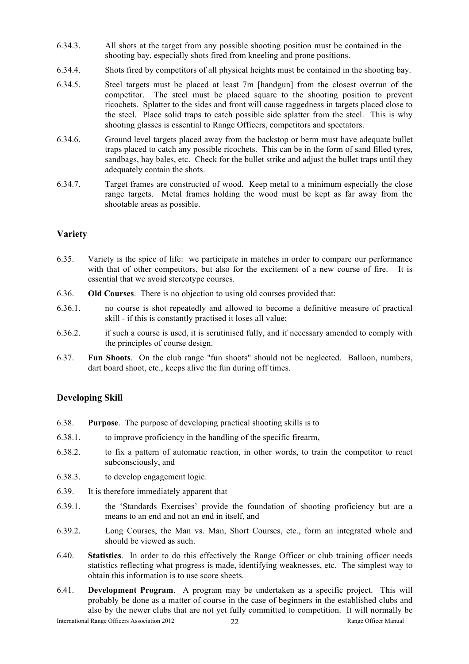- 6.34.3. All shots at the target from any possible shooting position must be contained in the shooting bay, especially shots fired from kneeling and prone positions.
- 6.34.4. Shots fired by competitors of all physical heights must be contained in the shooting bay.
- 6.34.5. Steel targets must be placed at least 7m [handgun] from the closest overrun of the competitor. The steel must be placed square to the shooting position to prevent ricochets. Splatter to the sides and front will cause raggedness in targets placed close to the steel. Place solid traps to catch possible side splatter from the steel. This is why shooting glasses is essential to Range Officers, competitors and spectators.
- 6.34.6. Ground level targets placed away from the backstop or berm must have adequate bullet traps placed to catch any possible ricochets. This can be in the form of sand filled tyres, sandbags, hay bales, etc. Check for the bullet strike and adjust the bullet traps until they adequately contain the shots.
- 6.34.7. Target frames are constructed of wood. Keep metal to a minimum especially the close range targets. Metal frames holding the wood must be kept as far away from the shootable areas as possible.

#### **Variety**

- 6.35. Variety is the spice of life: we participate in matches in order to compare our performance with that of other competitors, but also for the excitement of a new course of fire. It is essential that we avoid stereotype courses.
- 6.36. **Old Courses**. There is no objection to using old courses provided that:
- 6.36.1. no course is shot repeatedly and allowed to become a definitive measure of practical skill - if this is constantly practised it loses all value;
- 6.36.2. if such a course is used, it is scrutinised fully, and if necessary amended to comply with the principles of course design.
- 6.37. **Fun Shoots**. On the club range "fun shoots" should not be neglected. Balloon, numbers, dart board shoot, etc., keeps alive the fun during off times.

#### **Developing Skill**

- 6.38. **Purpose**. The purpose of developing practical shooting skills is to
- 6.38.1. to improve proficiency in the handling of the specific firearm,
- 6.38.2. to fix a pattern of automatic reaction, in other words, to train the competitor to react subconsciously, and
- 6.38.3. to develop engagement logic.
- 6.39. It is therefore immediately apparent that
- 6.39.1. the 'Standards Exercises' provide the foundation of shooting proficiency but are a means to an end and not an end in itself, and
- 6.39.2. Long Courses, the Man vs. Man, Short Courses, etc., form an integrated whole and should be viewed as such.
- 6.40. **Statistics**. In order to do this effectively the Range Officer or club training officer needs statistics reflecting what progress is made, identifying weaknesses, etc. The simplest way to obtain this information is to use score sheets.
- 6.41. **Development Program**. A program may be undertaken as a specific project. This will probably be done as a matter of course in the case of beginners in the established clubs and also by the newer clubs that are not yet fully committed to competition. It will normally be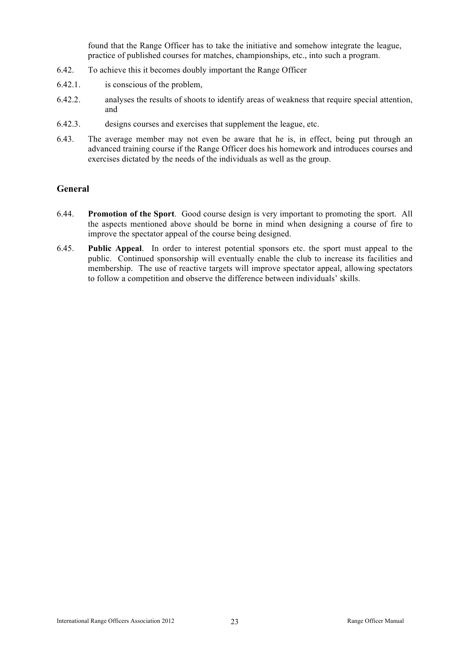found that the Range Officer has to take the initiative and somehow integrate the league, practice of published courses for matches, championships, etc., into such a program.

- 6.42. To achieve this it becomes doubly important the Range Officer
- 6.42.1. is conscious of the problem,
- 6.42.2. analyses the results of shoots to identify areas of weakness that require special attention, and
- 6.42.3. designs courses and exercises that supplement the league, etc.
- 6.43. The average member may not even be aware that he is, in effect, being put through an advanced training course if the Range Officer does his homework and introduces courses and exercises dictated by the needs of the individuals as well as the group.

#### **General**

- 6.44. **Promotion of the Sport**. Good course design is very important to promoting the sport. All the aspects mentioned above should be borne in mind when designing a course of fire to improve the spectator appeal of the course being designed.
- 6.45. **Public Appeal**. In order to interest potential sponsors etc. the sport must appeal to the public. Continued sponsorship will eventually enable the club to increase its facilities and membership. The use of reactive targets will improve spectator appeal, allowing spectators to follow a competition and observe the difference between individuals' skills.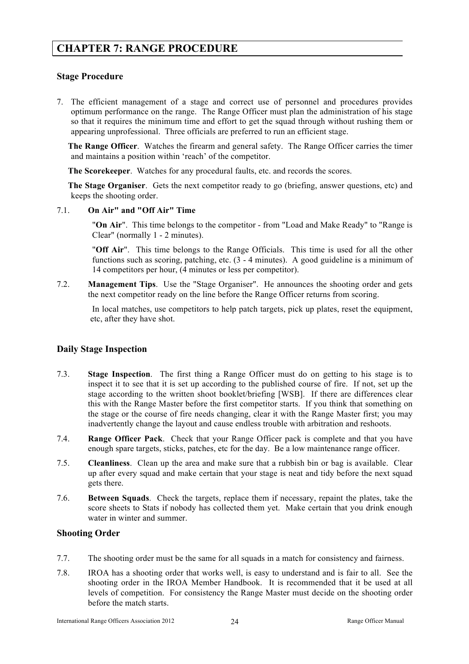## **CHAPTER 7: RANGE PROCEDURE**

#### **Stage Procedure**

7. The efficient management of a stage and correct use of personnel and procedures provides optimum performance on the range. The Range Officer must plan the administration of his stage so that it requires the minimum time and effort to get the squad through without rushing them or appearing unprofessional. Three officials are preferred to run an efficient stage.

**The Range Officer**. Watches the firearm and general safety. The Range Officer carries the timer and maintains a position within 'reach' of the competitor.

**The Scorekeeper**. Watches for any procedural faults, etc. and records the scores.

**The Stage Organiser**. Gets the next competitor ready to go (briefing, answer questions, etc) and keeps the shooting order.

#### 7.1. **On Air" and "Off Air" Time**

"**On Air**". This time belongs to the competitor - from "Load and Make Ready" to "Range is Clear" (normally 1 - 2 minutes).

"**Off Air**". This time belongs to the Range Officials. This time is used for all the other functions such as scoring, patching, etc. (3 - 4 minutes). A good guideline is a minimum of 14 competitors per hour, (4 minutes or less per competitor).

7.2. **Management Tips**. Use the "Stage Organiser". He announces the shooting order and gets the next competitor ready on the line before the Range Officer returns from scoring.

In local matches, use competitors to help patch targets, pick up plates, reset the equipment, etc, after they have shot.

#### **Daily Stage Inspection**

- 7.3. **Stage Inspection**. The first thing a Range Officer must do on getting to his stage is to inspect it to see that it is set up according to the published course of fire. If not, set up the stage according to the written shoot booklet/briefing [WSB]. If there are differences clear this with the Range Master before the first competitor starts. If you think that something on the stage or the course of fire needs changing, clear it with the Range Master first; you may inadvertently change the layout and cause endless trouble with arbitration and reshoots.
- 7.4. **Range Officer Pack**. Check that your Range Officer pack is complete and that you have enough spare targets, sticks, patches, etc for the day. Be a low maintenance range officer.
- 7.5. **Cleanliness**. Clean up the area and make sure that a rubbish bin or bag is available. Clear up after every squad and make certain that your stage is neat and tidy before the next squad gets there.
- 7.6. **Between Squads**. Check the targets, replace them if necessary, repaint the plates, take the score sheets to Stats if nobody has collected them yet. Make certain that you drink enough water in winter and summer.

#### **Shooting Order**

- 7.7. The shooting order must be the same for all squads in a match for consistency and fairness.
- 7.8. IROA has a shooting order that works well, is easy to understand and is fair to all. See the shooting order in the IROA Member Handbook. It is recommended that it be used at all levels of competition. For consistency the Range Master must decide on the shooting order before the match starts.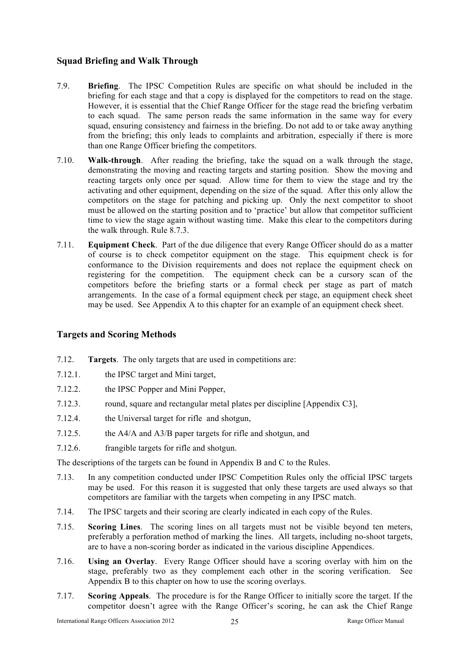#### **Squad Briefing and Walk Through**

- 7.9. **Briefing**. The IPSC Competition Rules are specific on what should be included in the briefing for each stage and that a copy is displayed for the competitors to read on the stage. However, it is essential that the Chief Range Officer for the stage read the briefing verbatim to each squad. The same person reads the same information in the same way for every squad, ensuring consistency and fairness in the briefing. Do not add to or take away anything from the briefing; this only leads to complaints and arbitration, especially if there is more than one Range Officer briefing the competitors.
- 7.10. **Walk-through**. After reading the briefing, take the squad on a walk through the stage, demonstrating the moving and reacting targets and starting position. Show the moving and reacting targets only once per squad. Allow time for them to view the stage and try the activating and other equipment, depending on the size of the squad. After this only allow the competitors on the stage for patching and picking up. Only the next competitor to shoot must be allowed on the starting position and to 'practice' but allow that competitor sufficient time to view the stage again without wasting time. Make this clear to the competitors during the walk through. Rule 8.7.3.
- 7.11. **Equipment Check**. Part of the due diligence that every Range Officer should do as a matter of course is to check competitor equipment on the stage. This equipment check is for conformance to the Division requirements and does not replace the equipment check on registering for the competition. The equipment check can be a cursory scan of the competitors before the briefing starts or a formal check per stage as part of match arrangements. In the case of a formal equipment check per stage, an equipment check sheet may be used. See Appendix A to this chapter for an example of an equipment check sheet.

#### **Targets and Scoring Methods**

- 7.12. **Targets**. The only targets that are used in competitions are:
- 7.12.1. the IPSC target and Mini target,
- 7.12.2. the IPSC Popper and Mini Popper,
- 7.12.3. round, square and rectangular metal plates per discipline [Appendix C3],
- 7.12.4. the Universal target for rifle and shotgun,
- 7.12.5. the A4/A and A3/B paper targets for rifle and shotgun, and
- 7.12.6. frangible targets for rifle and shotgun.

The descriptions of the targets can be found in Appendix B and C to the Rules.

- 7.13. In any competition conducted under IPSC Competition Rules only the official IPSC targets may be used. For this reason it is suggested that only these targets are used always so that competitors are familiar with the targets when competing in any IPSC match.
- 7.14. The IPSC targets and their scoring are clearly indicated in each copy of the Rules.
- 7.15. **Scoring Lines**. The scoring lines on all targets must not be visible beyond ten meters, preferably a perforation method of marking the lines. All targets, including no-shoot targets, are to have a non-scoring border as indicated in the various discipline Appendices.
- 7.16. **Using an Overlay**. Every Range Officer should have a scoring overlay with him on the stage, preferably two as they complement each other in the scoring verification. See Appendix B to this chapter on how to use the scoring overlays.
- 7.17. **Scoring Appeals**. The procedure is for the Range Officer to initially score the target. If the competitor doesn't agree with the Range Officer's scoring, he can ask the Chief Range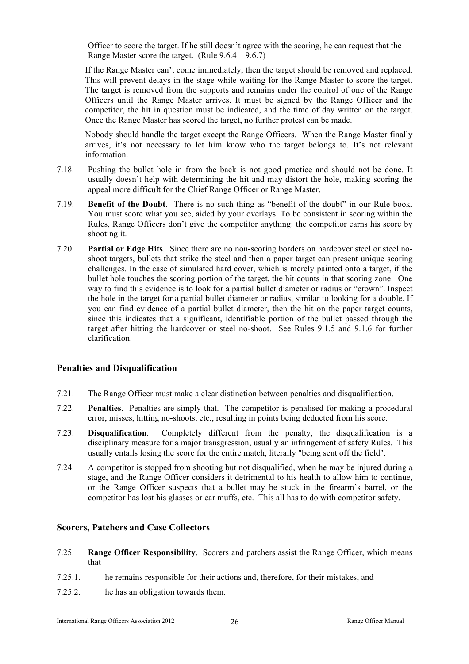Officer to score the target. If he still doesn't agree with the scoring, he can request that the Range Master score the target. (Rule  $9.6.4 - 9.6.7$ )

If the Range Master can't come immediately, then the target should be removed and replaced. This will prevent delays in the stage while waiting for the Range Master to score the target. The target is removed from the supports and remains under the control of one of the Range Officers until the Range Master arrives. It must be signed by the Range Officer and the competitor, the hit in question must be indicated, and the time of day written on the target. Once the Range Master has scored the target, no further protest can be made.

Nobody should handle the target except the Range Officers. When the Range Master finally arrives, it's not necessary to let him know who the target belongs to. It's not relevant information.

- 7.18. Pushing the bullet hole in from the back is not good practice and should not be done. It usually doesn't help with determining the hit and may distort the hole, making scoring the appeal more difficult for the Chief Range Officer or Range Master.
- 7.19. **Benefit of the Doubt**. There is no such thing as "benefit of the doubt" in our Rule book. You must score what you see, aided by your overlays. To be consistent in scoring within the Rules, Range Officers don't give the competitor anything: the competitor earns his score by shooting it.
- 7.20. **Partial or Edge Hits**. Since there are no non-scoring borders on hardcover steel or steel noshoot targets, bullets that strike the steel and then a paper target can present unique scoring challenges. In the case of simulated hard cover, which is merely painted onto a target, if the bullet hole touches the scoring portion of the target, the hit counts in that scoring zone. One way to find this evidence is to look for a partial bullet diameter or radius or "crown". Inspect the hole in the target for a partial bullet diameter or radius, similar to looking for a double. If you can find evidence of a partial bullet diameter, then the hit on the paper target counts, since this indicates that a significant, identifiable portion of the bullet passed through the target after hitting the hardcover or steel no-shoot. See Rules 9.1.5 and 9.1.6 for further clarification.

#### **Penalties and Disqualification**

- 7.21. The Range Officer must make a clear distinction between penalties and disqualification.
- 7.22. **Penalties**. Penalties are simply that. The competitor is penalised for making a procedural error, misses, hitting no-shoots, etc., resulting in points being deducted from his score.
- 7.23. **Disqualification**. Completely different from the penalty, the disqualification is a disciplinary measure for a major transgression, usually an infringement of safety Rules. This usually entails losing the score for the entire match, literally "being sent off the field".
- 7.24. A competitor is stopped from shooting but not disqualified, when he may be injured during a stage, and the Range Officer considers it detrimental to his health to allow him to continue, or the Range Officer suspects that a bullet may be stuck in the firearm's barrel, or the competitor has lost his glasses or ear muffs, etc. This all has to do with competitor safety.

#### **Scorers, Patchers and Case Collectors**

- 7.25. **Range Officer Responsibility**. Scorers and patchers assist the Range Officer, which means that
- 7.25.1. he remains responsible for their actions and, therefore, for their mistakes, and
- 7.25.2. he has an obligation towards them.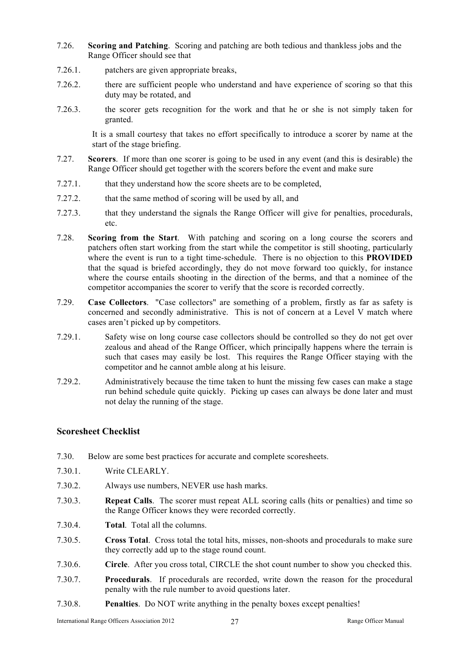- 7.26. **Scoring and Patching**. Scoring and patching are both tedious and thankless jobs and the Range Officer should see that
- 7.26.1. patchers are given appropriate breaks,
- 7.26.2. there are sufficient people who understand and have experience of scoring so that this duty may be rotated, and
- 7.26.3. the scorer gets recognition for the work and that he or she is not simply taken for granted.

It is a small courtesy that takes no effort specifically to introduce a scorer by name at the start of the stage briefing.

- 7.27. **Scorers**. If more than one scorer is going to be used in any event (and this is desirable) the Range Officer should get together with the scorers before the event and make sure
- 7.27.1. that they understand how the score sheets are to be completed,
- 7.27.2. that the same method of scoring will be used by all, and
- 7.27.3. that they understand the signals the Range Officer will give for penalties, procedurals, etc.
- 7.28. **Scoring from the Start**. With patching and scoring on a long course the scorers and patchers often start working from the start while the competitor is still shooting, particularly where the event is run to a tight time-schedule. There is no objection to this **PROVIDED**  that the squad is briefed accordingly, they do not move forward too quickly, for instance where the course entails shooting in the direction of the berms, and that a nominee of the competitor accompanies the scorer to verify that the score is recorded correctly.
- 7.29. **Case Collectors**. "Case collectors" are something of a problem, firstly as far as safety is concerned and secondly administrative. This is not of concern at a Level V match where cases aren't picked up by competitors.
- 7.29.1. Safety wise on long course case collectors should be controlled so they do not get over zealous and ahead of the Range Officer, which principally happens where the terrain is such that cases may easily be lost. This requires the Range Officer staying with the competitor and he cannot amble along at his leisure.
- 7.29.2. Administratively because the time taken to hunt the missing few cases can make a stage run behind schedule quite quickly. Picking up cases can always be done later and must not delay the running of the stage.

#### **Scoresheet Checklist**

- 7.30. Below are some best practices for accurate and complete scoresheets.
- 7.30.1. Write CLEARLY.
- 7.30.2. Always use numbers, NEVER use hash marks.
- 7.30.3. **Repeat Calls**. The scorer must repeat ALL scoring calls (hits or penalties) and time so the Range Officer knows they were recorded correctly.
- 7.30.4. **Total**. Total all the columns.
- 7.30.5. **Cross Total**. Cross total the total hits, misses, non-shoots and procedurals to make sure they correctly add up to the stage round count.
- 7.30.6. **Circle**. After you cross total, CIRCLE the shot count number to show you checked this.
- 7.30.7. **Procedurals**. If procedurals are recorded, write down the reason for the procedural penalty with the rule number to avoid questions later.
- 7.30.8. **Penalties**. Do NOT write anything in the penalty boxes except penalties!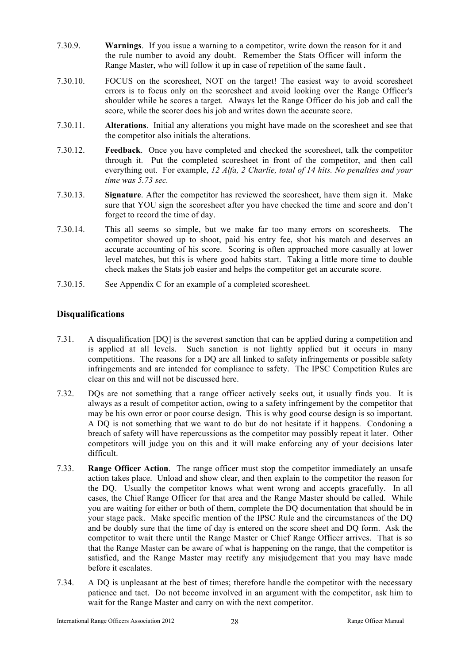- 7.30.9. **Warnings**. If you issue a warning to a competitor, write down the reason for it and the rule number to avoid any doubt. Remember the Stats Officer will inform the Range Master, who will follow it up in case of repetition of the same fault.
- 7.30.10. FOCUS on the scoresheet, NOT on the target! The easiest way to avoid scoresheet errors is to focus only on the scoresheet and avoid looking over the Range Officer's shoulder while he scores a target. Always let the Range Officer do his job and call the score, while the scorer does his job and writes down the accurate score.
- 7.30.11. **Alterations**. Initial any alterations you might have made on the scoresheet and see that the competitor also initials the alterations.
- 7.30.12. **Feedback**. Once you have completed and checked the scoresheet, talk the competitor through it. Put the completed scoresheet in front of the competitor, and then call everything out. For example, *12 Alfa, 2 Charlie, total of 14 hits. No penalties and your time was 5.73 sec.*
- 7.30.13. **Signature**. After the competitor has reviewed the scoresheet, have them sign it. Make sure that YOU sign the scoresheet after you have checked the time and score and don't forget to record the time of day.
- 7.30.14. This all seems so simple, but we make far too many errors on scoresheets. The competitor showed up to shoot, paid his entry fee, shot his match and deserves an accurate accounting of his score. Scoring is often approached more casually at lower level matches, but this is where good habits start. Taking a little more time to double check makes the Stats job easier and helps the competitor get an accurate score.
- 7.30.15. See Appendix C for an example of a completed scoresheet.

#### **Disqualifications**

- 7.31. A disqualification [DQ] is the severest sanction that can be applied during a competition and is applied at all levels. Such sanction is not lightly applied but it occurs in many competitions. The reasons for a DQ are all linked to safety infringements or possible safety infringements and are intended for compliance to safety. The IPSC Competition Rules are clear on this and will not be discussed here.
- 7.32. DQs are not something that a range officer actively seeks out, it usually finds you. It is always as a result of competitor action, owing to a safety infringement by the competitor that may be his own error or poor course design. This is why good course design is so important. A DQ is not something that we want to do but do not hesitate if it happens. Condoning a breach of safety will have repercussions as the competitor may possibly repeat it later. Other competitors will judge you on this and it will make enforcing any of your decisions later difficult.
- 7.33. **Range Officer Action**. The range officer must stop the competitor immediately an unsafe action takes place. Unload and show clear, and then explain to the competitor the reason for the DQ. Usually the competitor knows what went wrong and accepts gracefully. In all cases, the Chief Range Officer for that area and the Range Master should be called. While you are waiting for either or both of them, complete the DQ documentation that should be in your stage pack. Make specific mention of the IPSC Rule and the circumstances of the DQ and be doubly sure that the time of day is entered on the score sheet and DQ form. Ask the competitor to wait there until the Range Master or Chief Range Officer arrives. That is so that the Range Master can be aware of what is happening on the range, that the competitor is satisfied, and the Range Master may rectify any misjudgement that you may have made before it escalates.
- 7.34. A DQ is unpleasant at the best of times; therefore handle the competitor with the necessary patience and tact. Do not become involved in an argument with the competitor, ask him to wait for the Range Master and carry on with the next competitor.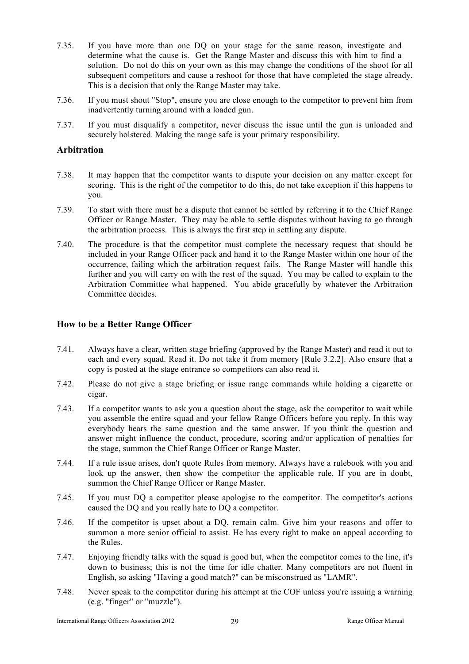- 7.35. If you have more than one DQ on your stage for the same reason, investigate and determine what the cause is. Get the Range Master and discuss this with him to find a solution. Do not do this on your own as this may change the conditions of the shoot for all subsequent competitors and cause a reshoot for those that have completed the stage already. This is a decision that only the Range Master may take.
- 7.36. If you must shout "Stop", ensure you are close enough to the competitor to prevent him from inadvertently turning around with a loaded gun.
- 7.37. If you must disqualify a competitor, never discuss the issue until the gun is unloaded and securely holstered. Making the range safe is your primary responsibility.

#### **Arbitration**

- 7.38. It may happen that the competitor wants to dispute your decision on any matter except for scoring. This is the right of the competitor to do this, do not take exception if this happens to you.
- 7.39. To start with there must be a dispute that cannot be settled by referring it to the Chief Range Officer or Range Master. They may be able to settle disputes without having to go through the arbitration process. This is always the first step in settling any dispute.
- 7.40. The procedure is that the competitor must complete the necessary request that should be included in your Range Officer pack and hand it to the Range Master within one hour of the occurrence, failing which the arbitration request fails. The Range Master will handle this further and you will carry on with the rest of the squad. You may be called to explain to the Arbitration Committee what happened. You abide gracefully by whatever the Arbitration Committee decides.

#### **How to be a Better Range Officer**

- 7.41. Always have a clear, written stage briefing (approved by the Range Master) and read it out to each and every squad. Read it. Do not take it from memory [Rule 3.2.2]. Also ensure that a copy is posted at the stage entrance so competitors can also read it.
- 7.42. Please do not give a stage briefing or issue range commands while holding a cigarette or cigar.
- 7.43. If a competitor wants to ask you a question about the stage, ask the competitor to wait while you assemble the entire squad and your fellow Range Officers before you reply. In this way everybody hears the same question and the same answer. If you think the question and answer might influence the conduct, procedure, scoring and/or application of penalties for the stage, summon the Chief Range Officer or Range Master.
- 7.44. If a rule issue arises, don't quote Rules from memory. Always have a rulebook with you and look up the answer, then show the competitor the applicable rule. If you are in doubt, summon the Chief Range Officer or Range Master.
- 7.45. If you must DQ a competitor please apologise to the competitor. The competitor's actions caused the DQ and you really hate to DQ a competitor.
- 7.46. If the competitor is upset about a DQ, remain calm. Give him your reasons and offer to summon a more senior official to assist. He has every right to make an appeal according to the Rules.
- 7.47. Enjoying friendly talks with the squad is good but, when the competitor comes to the line, it's down to business; this is not the time for idle chatter. Many competitors are not fluent in English, so asking "Having a good match?" can be misconstrued as "LAMR".
- 7.48. Never speak to the competitor during his attempt at the COF unless you're issuing a warning (e.g. "finger" or "muzzle").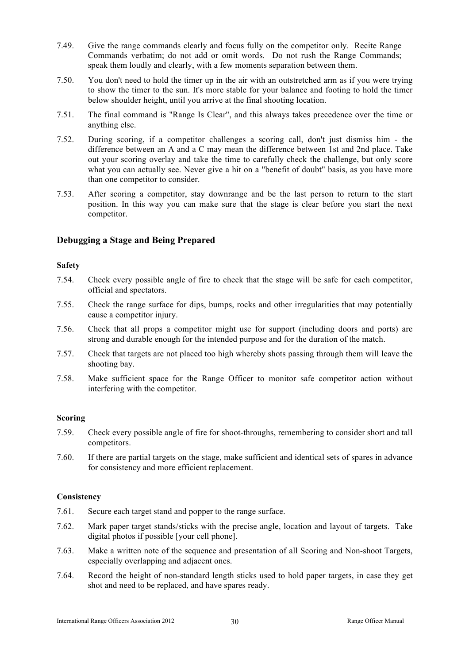- 7.49. Give the range commands clearly and focus fully on the competitor only. Recite Range Commands verbatim; do not add or omit words. Do not rush the Range Commands; speak them loudly and clearly, with a few moments separation between them.
- 7.50. You don't need to hold the timer up in the air with an outstretched arm as if you were trying to show the timer to the sun. It's more stable for your balance and footing to hold the timer below shoulder height, until you arrive at the final shooting location.
- 7.51. The final command is "Range Is Clear", and this always takes precedence over the time or anything else.
- 7.52. During scoring, if a competitor challenges a scoring call, don't just dismiss him the difference between an A and a C may mean the difference between 1st and 2nd place. Take out your scoring overlay and take the time to carefully check the challenge, but only score what you can actually see. Never give a hit on a "benefit of doubt" basis, as you have more than one competitor to consider.
- 7.53. After scoring a competitor, stay downrange and be the last person to return to the start position. In this way you can make sure that the stage is clear before you start the next competitor.

#### **Debugging a Stage and Being Prepared**

#### **Safety**

- 7.54. Check every possible angle of fire to check that the stage will be safe for each competitor, official and spectators.
- 7.55. Check the range surface for dips, bumps, rocks and other irregularities that may potentially cause a competitor injury.
- 7.56. Check that all props a competitor might use for support (including doors and ports) are strong and durable enough for the intended purpose and for the duration of the match.
- 7.57. Check that targets are not placed too high whereby shots passing through them will leave the shooting bay.
- 7.58. Make sufficient space for the Range Officer to monitor safe competitor action without interfering with the competitor.

#### **Scoring**

- 7.59. Check every possible angle of fire for shoot-throughs, remembering to consider short and tall competitors.
- 7.60. If there are partial targets on the stage, make sufficient and identical sets of spares in advance for consistency and more efficient replacement.

#### **Consistency**

- 7.61. Secure each target stand and popper to the range surface.
- 7.62. Mark paper target stands/sticks with the precise angle, location and layout of targets. Take digital photos if possible [your cell phone].
- 7.63. Make a written note of the sequence and presentation of all Scoring and Non-shoot Targets, especially overlapping and adjacent ones.
- 7.64. Record the height of non-standard length sticks used to hold paper targets, in case they get shot and need to be replaced, and have spares ready.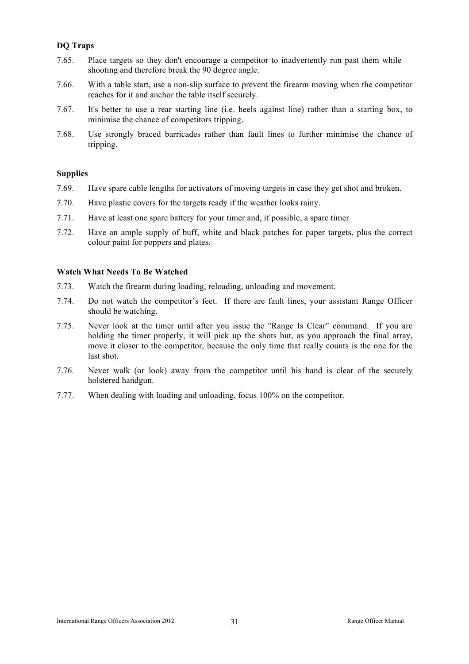#### **DQ Traps**

- 7.65. Place targets so they don't encourage a competitor to inadvertently run past them while shooting and therefore break the 90 degree angle.
- 7.66. With a table start, use a non-slip surface to prevent the firearm moving when the competitor reaches for it and anchor the table itself securely.
- 7.67. It's better to use a rear starting line (i.e. heels against line) rather than a starting box, to minimise the chance of competitors tripping.
- 7.68. Use strongly braced barricades rather than fault lines to further minimise the chance of tripping.

#### **Supplies**

- 7.69. Have spare cable lengths for activators of moving targets in case they get shot and broken.
- 7.70. Have plastic covers for the targets ready if the weather looks rainy.
- 7.71. Have at least one spare battery for your timer and, if possible, a spare timer.
- 7.72. Have an ample supply of buff, white and black patches for paper targets, plus the correct colour paint for poppers and plates.

#### **Watch What Needs To Be Watched**

- 7.73. Watch the firearm during loading, reloading, unloading and movement.
- 7.74. Do not watch the competitor's feet. If there are fault lines, your assistant Range Officer should be watching.
- 7.75. Never look at the timer until after you issue the "Range Is Clear" command. If you are holding the timer properly, it will pick up the shots but, as you approach the final array, move it closer to the competitor, because the only time that really counts is the one for the last shot.
- 7.76. Never walk (or look) away from the competitor until his hand is clear of the securely holstered handgun.
- 7.77. When dealing with loading and unloading, focus 100% on the competitor.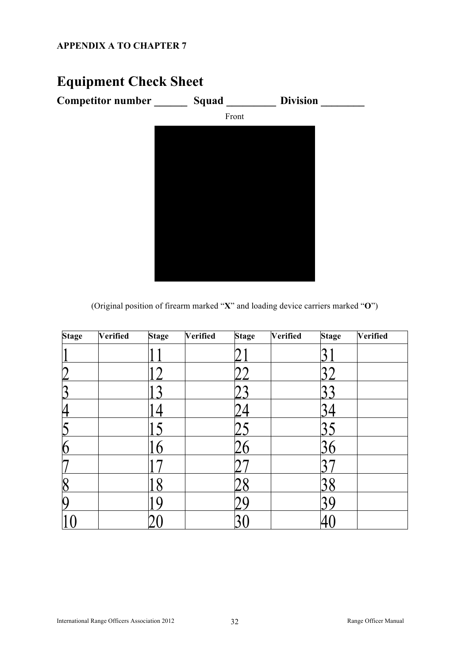## **APPENDIX A TO CHAPTER 7**



(Original position of firearm marked "**X**" and loading device carriers marked "**O**")

| <b>Stage</b>             | <b>Verified</b> | <b>Stage</b> | <b>Verified</b> | <b>Stage</b> | <b>Verified</b> | <b>Stage</b> | <b>Verified</b> |
|--------------------------|-----------------|--------------|-----------------|--------------|-----------------|--------------|-----------------|
|                          |                 |              |                 |              |                 |              |                 |
|                          |                 |              |                 |              |                 |              |                 |
|                          |                 |              |                 |              |                 |              |                 |
| K                        |                 |              |                 |              |                 |              |                 |
| Ľ                        |                 |              |                 |              |                 |              |                 |
| $\overline{6}$           |                 |              |                 |              |                 |              |                 |
|                          |                 |              |                 |              |                 |              |                 |
| 8                        |                 | Q            |                 |              |                 |              |                 |
| $\vert \mathbf{Q} \vert$ |                 |              |                 |              |                 |              |                 |
|                          |                 |              |                 |              |                 |              |                 |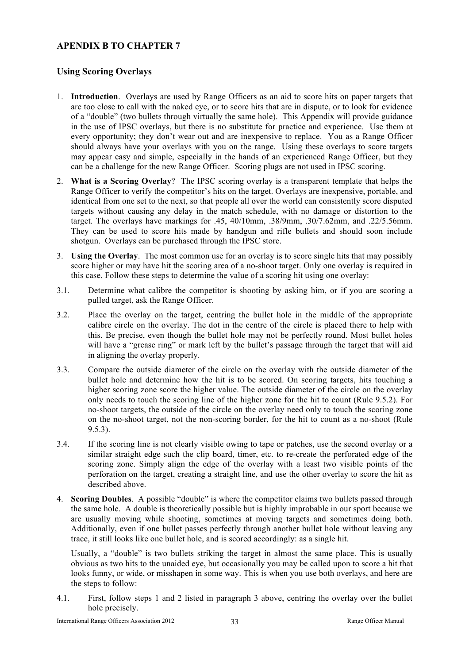#### **APENDIX B TO CHAPTER 7**

#### **Using Scoring Overlays**

- 1. **Introduction**. Overlays are used by Range Officers as an aid to score hits on paper targets that are too close to call with the naked eye, or to score hits that are in dispute, or to look for evidence of a "double" (two bullets through virtually the same hole). This Appendix will provide guidance in the use of IPSC overlays, but there is no substitute for practice and experience. Use them at every opportunity; they don't wear out and are inexpensive to replace. You as a Range Officer should always have your overlays with you on the range. Using these overlays to score targets may appear easy and simple, especially in the hands of an experienced Range Officer, but they can be a challenge for the new Range Officer. Scoring plugs are not used in IPSC scoring.
- 2. **What is a Scoring Overlay**? The IPSC scoring overlay is a transparent template that helps the Range Officer to verify the competitor's hits on the target. Overlays are inexpensive, portable, and identical from one set to the next, so that people all over the world can consistently score disputed targets without causing any delay in the match schedule, with no damage or distortion to the target. The overlays have markings for .45, 40/10mm, .38/9mm, .30/7.62mm, and .22/5.56mm. They can be used to score hits made by handgun and rifle bullets and should soon include shotgun. Overlays can be purchased through the IPSC store.
- 3. **Using the Overlay**. The most common use for an overlay is to score single hits that may possibly score higher or may have hit the scoring area of a no-shoot target. Only one overlay is required in this case. Follow these steps to determine the value of a scoring hit using one overlay:
- 3.1. Determine what calibre the competitor is shooting by asking him, or if you are scoring a pulled target, ask the Range Officer.
- 3.2. Place the overlay on the target, centring the bullet hole in the middle of the appropriate calibre circle on the overlay. The dot in the centre of the circle is placed there to help with this. Be precise, even though the bullet hole may not be perfectly round. Most bullet holes will have a "grease ring" or mark left by the bullet's passage through the target that will aid in aligning the overlay properly.
- 3.3. Compare the outside diameter of the circle on the overlay with the outside diameter of the bullet hole and determine how the hit is to be scored. On scoring targets, hits touching a higher scoring zone score the higher value. The outside diameter of the circle on the overlay only needs to touch the scoring line of the higher zone for the hit to count (Rule 9.5.2). For no-shoot targets, the outside of the circle on the overlay need only to touch the scoring zone on the no-shoot target, not the non-scoring border, for the hit to count as a no-shoot (Rule 9.5.3).
- 3.4. If the scoring line is not clearly visible owing to tape or patches, use the second overlay or a similar straight edge such the clip board, timer, etc. to re-create the perforated edge of the scoring zone. Simply align the edge of the overlay with a least two visible points of the perforation on the target, creating a straight line, and use the other overlay to score the hit as described above.
- 4. **Scoring Doubles**. A possible "double" is where the competitor claims two bullets passed through the same hole. A double is theoretically possible but is highly improbable in our sport because we are usually moving while shooting, sometimes at moving targets and sometimes doing both. Additionally, even if one bullet passes perfectly through another bullet hole without leaving any trace, it still looks like one bullet hole, and is scored accordingly: as a single hit.

Usually, a "double" is two bullets striking the target in almost the same place. This is usually obvious as two hits to the unaided eye, but occasionally you may be called upon to score a hit that looks funny, or wide, or misshapen in some way. This is when you use both overlays, and here are the steps to follow:

4.1. First, follow steps 1 and 2 listed in paragraph 3 above, centring the overlay over the bullet hole precisely.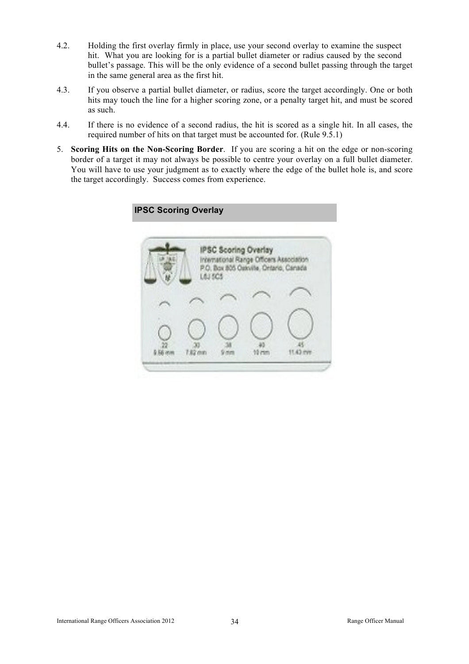- 4.2. Holding the first overlay firmly in place, use your second overlay to examine the suspect hit. What you are looking for is a partial bullet diameter or radius caused by the second bullet's passage. This will be the only evidence of a second bullet passing through the target in the same general area as the first hit.
- 4.3. If you observe a partial bullet diameter, or radius, score the target accordingly. One or both hits may touch the line for a higher scoring zone, or a penalty target hit, and must be scored as such.
- 4.4. If there is no evidence of a second radius, the hit is scored as a single hit. In all cases, the required number of hits on that target must be accounted for. (Rule 9.5.1)
- 5. **Scoring Hits on the Non-Scoring Border**. If you are scoring a hit on the edge or non-scoring border of a target it may not always be possible to centre your overlay on a full bullet diameter. You will have to use your judgment as to exactly where the edge of the bullet hole is, and score the target accordingly. Success comes from experience.

| L635C5 | IPSC Scoring Overlay<br>International Range Officers Associa | P.O. Box 805 Oakville, Ontario, Canada |  |
|--------|--------------------------------------------------------------|----------------------------------------|--|
|        |                                                              |                                        |  |
|        |                                                              |                                        |  |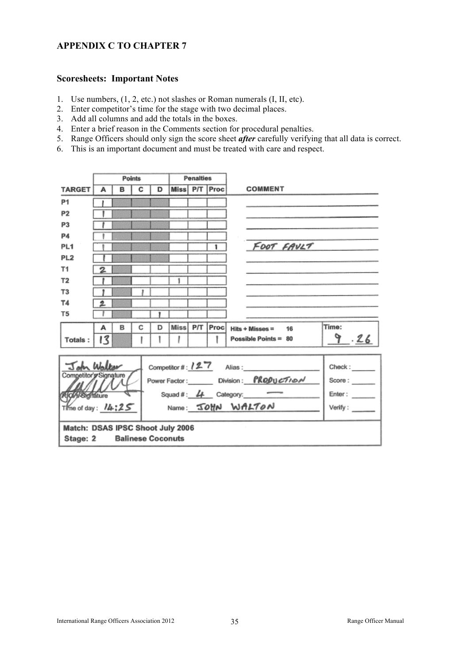### **APPENDIX C TO CHAPTER 7**

#### **Scoresheets: Important Notes**

- 1. Use numbers, (1, 2, etc.) not slashes or Roman numerals (I, II, etc).
- 2. Enter competitor's time for the stage with two decimal places.
- 3. Add all columns and add the totals in the boxes.
- 4. Enter a brief reason in the Comments section for procedural penalties.
- 5. Range Officers should only sign the score sheet *after* carefully verifying that all data is correct.
- 6. This is an important document and must be treated with care and respect.

|                                      |                                                              | Points |   |   | Penalties |  |               |                            |          |
|--------------------------------------|--------------------------------------------------------------|--------|---|---|-----------|--|---------------|----------------------------|----------|
| <b>TARGET</b>                        | А                                                            | в      | С | D |           |  | Miss P/T Proc | <b>COMMENT</b>             |          |
| P1                                   |                                                              |        |   |   |           |  |               |                            |          |
| P <sub>2</sub>                       |                                                              |        |   |   |           |  |               |                            |          |
| P3                                   |                                                              |        |   |   |           |  |               |                            |          |
| P <sub>4</sub>                       |                                                              |        |   |   |           |  |               |                            |          |
| PL <sub>1</sub>                      |                                                              |        |   |   |           |  | ١             | FOOT FAVLT                 |          |
| PL <sub>2</sub>                      |                                                              |        |   |   |           |  |               |                            |          |
| T1                                   | 2                                                            |        |   |   |           |  |               |                            |          |
| T <sub>2</sub>                       |                                                              |        |   |   | ĩ         |  |               |                            |          |
| T <sub>3</sub>                       |                                                              |        |   |   |           |  |               |                            |          |
| <b>T4</b>                            | 2                                                            |        |   |   |           |  |               |                            |          |
| T <sub>5</sub>                       |                                                              |        |   |   |           |  |               |                            |          |
|                                      | А                                                            | в      | с | D | Miss P/T  |  | Proc          | $Hits + Misses =$<br>16    | Time:    |
| Totals:                              | 13                                                           |        |   |   |           |  |               | Possible Points = $80$     | $9 - 26$ |
|                                      |                                                              |        |   |   |           |  |               |                            |          |
| John Walter                          |                                                              |        |   |   |           |  |               | Competitor #: $127$ Alias: | Check:   |
|                                      | Competitor's Signature<br>Power Factor: Division: PRODUCTION |        |   |   |           |  | Score:        |                            |          |
|                                      |                                                              |        |   |   |           |  | Enter: $\_\_$ |                            |          |
|                                      | Squad #: 4 Category: --<br><b>Right Synstere</b>             |        |   |   |           |  |               |                            |          |
|                                      | Name: JOHN WALTON<br>Time of day: $14:25$                    |        |   |   |           |  | Verify:       |                            |          |
| Match: DSAS IPSC Shoot July 2006     |                                                              |        |   |   |           |  |               |                            |          |
| <b>Balinese Coconuts</b><br>Stage: 2 |                                                              |        |   |   |           |  |               |                            |          |
|                                      |                                                              |        |   |   |           |  |               |                            |          |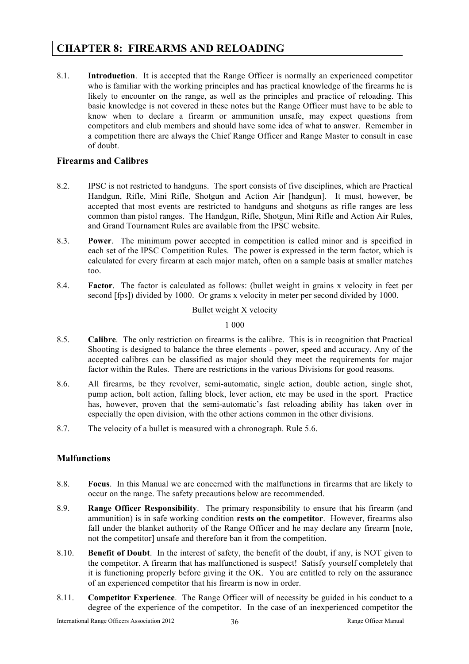## **CHAPTER 8: FIREARMS AND RELOADING**

8.1. **Introduction**. It is accepted that the Range Officer is normally an experienced competitor who is familiar with the working principles and has practical knowledge of the firearms he is likely to encounter on the range, as well as the principles and practice of reloading. This basic knowledge is not covered in these notes but the Range Officer must have to be able to know when to declare a firearm or ammunition unsafe, may expect questions from competitors and club members and should have some idea of what to answer. Remember in a competition there are always the Chief Range Officer and Range Master to consult in case of doubt.

#### **Firearms and Calibres**

- 8.2. IPSC is not restricted to handguns. The sport consists of five disciplines, which are Practical Handgun, Rifle, Mini Rifle, Shotgun and Action Air [handgun]. It must, however, be accepted that most events are restricted to handguns and shotguns as rifle ranges are less common than pistol ranges. The Handgun, Rifle, Shotgun, Mini Rifle and Action Air Rules, and Grand Tournament Rules are available from the IPSC website.
- 8.3. **Power**. The minimum power accepted in competition is called minor and is specified in each set of the IPSC Competition Rules. The power is expressed in the term factor, which is calculated for every firearm at each major match, often on a sample basis at smaller matches too.
- 8.4. **Factor**. The factor is calculated as follows: (bullet weight in grains x velocity in feet per second [fps]) divided by 1000. Or grams x velocity in meter per second divided by 1000.

#### Bullet weight X velocity

1 000

- 8.5. **Calibre**. The only restriction on firearms is the calibre. This is in recognition that Practical Shooting is designed to balance the three elements - power, speed and accuracy. Any of the accepted calibres can be classified as major should they meet the requirements for major factor within the Rules. There are restrictions in the various Divisions for good reasons.
- 8.6. All firearms, be they revolver, semi-automatic, single action, double action, single shot, pump action, bolt action, falling block, lever action, etc may be used in the sport. Practice has, however, proven that the semi-automatic's fast reloading ability has taken over in especially the open division, with the other actions common in the other divisions.
- 8.7. The velocity of a bullet is measured with a chronograph. Rule 5.6.

#### **Malfunctions**

- 8.8. **Focus**. In this Manual we are concerned with the malfunctions in firearms that are likely to occur on the range. The safety precautions below are recommended.
- 8.9. **Range Officer Responsibility**. The primary responsibility to ensure that his firearm (and ammunition) is in safe working condition **rests on the competitor**. However, firearms also fall under the blanket authority of the Range Officer and he may declare any firearm [note, not the competitor] unsafe and therefore ban it from the competition.
- 8.10. **Benefit of Doubt**. In the interest of safety, the benefit of the doubt, if any, is NOT given to the competitor. A firearm that has malfunctioned is suspect! Satisfy yourself completely that it is functioning properly before giving it the OK. You are entitled to rely on the assurance of an experienced competitor that his firearm is now in order.
- 8.11. **Competitor Experience**. The Range Officer will of necessity be guided in his conduct to a degree of the experience of the competitor. In the case of an inexperienced competitor the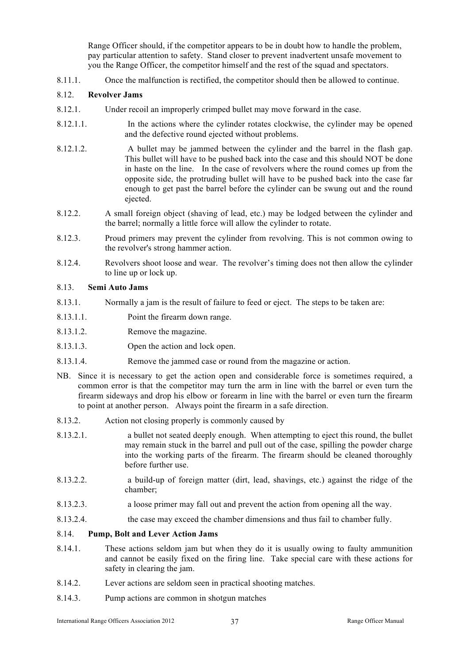Range Officer should, if the competitor appears to be in doubt how to handle the problem, pay particular attention to safety. Stand closer to prevent inadvertent unsafe movement to you the Range Officer, the competitor himself and the rest of the squad and spectators.

8.11.1. Once the malfunction is rectified, the competitor should then be allowed to continue.

#### 8.12. **Revolver Jams**

- 8.12.1. Under recoil an improperly crimped bullet may move forward in the case.
- 8.12.1.1. In the actions where the cylinder rotates clockwise, the cylinder may be opened and the defective round ejected without problems.
- 8.12.1.2. A bullet may be jammed between the cylinder and the barrel in the flash gap. This bullet will have to be pushed back into the case and this should NOT be done in haste on the line. In the case of revolvers where the round comes up from the opposite side, the protruding bullet will have to be pushed back into the case far enough to get past the barrel before the cylinder can be swung out and the round ejected.
- 8.12.2. A small foreign object (shaving of lead, etc.) may be lodged between the cylinder and the barrel; normally a little force will allow the cylinder to rotate.
- 8.12.3. Proud primers may prevent the cylinder from revolving. This is not common owing to the revolver's strong hammer action.
- 8.12.4. Revolvers shoot loose and wear. The revolver's timing does not then allow the cylinder to line up or lock up.

#### 8.13. **Semi Auto Jams**

- 8.13.1. Normally a jam is the result of failure to feed or eject. The steps to be taken are:
- 8.13.1.1. Point the firearm down range.
- 8.13.1.2. Remove the magazine.
- 8.13.1.3. Open the action and lock open.
- 8.13.1.4. Remove the jammed case or round from the magazine or action.
- NB. Since it is necessary to get the action open and considerable force is sometimes required, a common error is that the competitor may turn the arm in line with the barrel or even turn the firearm sideways and drop his elbow or forearm in line with the barrel or even turn the firearm to point at another person. Always point the firearm in a safe direction.
- 8.13.2. Action not closing properly is commonly caused by
- 8.13.2.1. a bullet not seated deeply enough. When attempting to eject this round, the bullet may remain stuck in the barrel and pull out of the case, spilling the powder charge into the working parts of the firearm. The firearm should be cleaned thoroughly before further use.
- 8.13.2.2. a build-up of foreign matter (dirt, lead, shavings, etc.) against the ridge of the chamber;
- 8.13.2.3. a loose primer may fall out and prevent the action from opening all the way.
- 8.13.2.4. the case may exceed the chamber dimensions and thus fail to chamber fully.

#### 8.14. **Pump, Bolt and Lever Action Jams**

- 8.14.1. These actions seldom jam but when they do it is usually owing to faulty ammunition and cannot be easily fixed on the firing line. Take special care with these actions for safety in clearing the jam.
- 8.14.2. Lever actions are seldom seen in practical shooting matches.
- 8.14.3. Pump actions are common in shotgun matches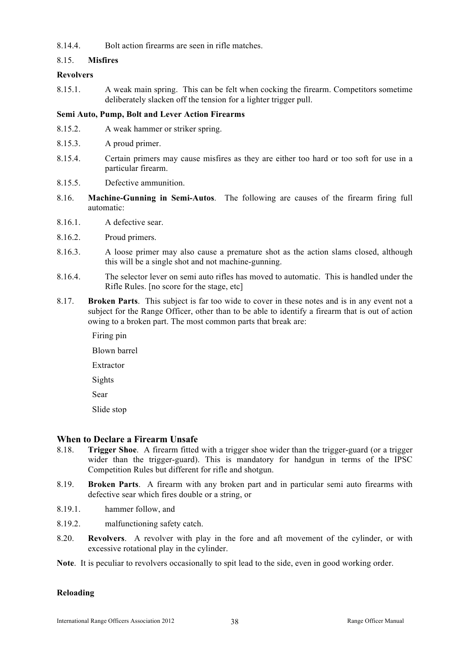#### 8.14.4. Bolt action firearms are seen in rifle matches.

#### 8.15. **Misfires**

#### **Revolvers**

8.15.1. A weak main spring. This can be felt when cocking the firearm. Competitors sometime deliberately slacken off the tension for a lighter trigger pull.

#### **Semi Auto, Pump, Bolt and Lever Action Firearms**

- 8.15.2. A weak hammer or striker spring.
- 8.15.3. A proud primer.
- 8.15.4. Certain primers may cause misfires as they are either too hard or too soft for use in a particular firearm.
- 8.15.5. Defective ammunition.
- 8.16. **Machine-Gunning in Semi-Autos**. The following are causes of the firearm firing full automatic:
- 8.16.1. A defective sear.
- 8.16.2. Proud primers.
- 8.16.3. A loose primer may also cause a premature shot as the action slams closed, although this will be a single shot and not machine-gunning.
- 8.16.4. The selector lever on semi auto rifles has moved to automatic. This is handled under the Rifle Rules. [no score for the stage, etc]
- 8.17. **Broken Parts**. This subject is far too wide to cover in these notes and is in any event not a subject for the Range Officer, other than to be able to identify a firearm that is out of action owing to a broken part. The most common parts that break are:
	- Firing pin Blown barrel Extractor Sights Sear Slide stop

#### **When to Declare a Firearm Unsafe**

- 8.18. **Trigger Shoe**. A firearm fitted with a trigger shoe wider than the trigger-guard (or a trigger wider than the trigger-guard). This is mandatory for handgun in terms of the IPSC Competition Rules but different for rifle and shotgun.
- 8.19. **Broken Parts**. A firearm with any broken part and in particular semi auto firearms with defective sear which fires double or a string, or
- 8.19.1. hammer follow, and
- 8.19.2. malfunctioning safety catch.
- 8.20. **Revolvers**. A revolver with play in the fore and aft movement of the cylinder, or with excessive rotational play in the cylinder.
- **Note**. It is peculiar to revolvers occasionally to spit lead to the side, even in good working order.

#### **Reloading**